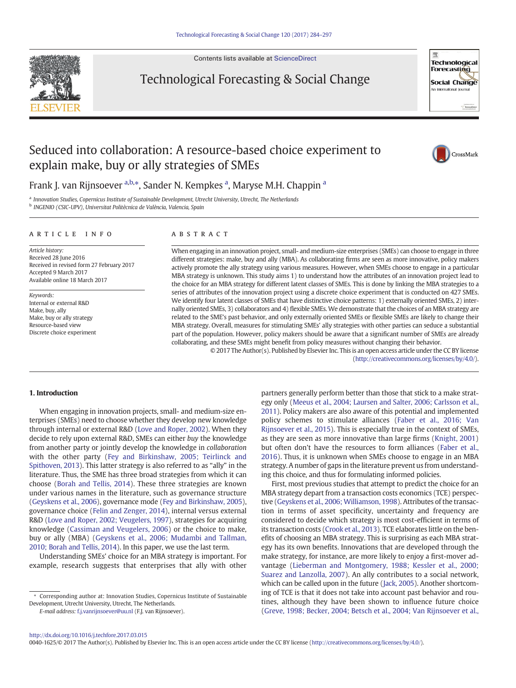Contents lists available at [ScienceDirect](http://www.sciencedirect.com/science/journal/00401625)



Technological Forecasting & Social Change



# Seduced into collaboration: A resource-based choice experiment to explain make, buy or ally strategies of SMEs



Frank J. van Rijnsoever <sup>a,b,</sup>\*, Sander N. Kempkes <sup>a</sup>, Maryse M.H. Chappin <sup>a</sup>

a Innovation Studies, Copernicus Institute of Sustainable Development, Utrecht University, Utrecht, The Netherlands <sup>b</sup> INGENIO (CSIC-UPV), Universitat Politècnica de València, Valencia, Spain

#### article info abstract

Article history: Received 28 June 2016 Received in revised form 27 February 2017 Accepted 9 March 2017 Available online 18 March 2017

Keywords: Internal or external R&D Make, buy, ally Make, buy or ally strategy Resource-based view Discrete choice experiment

When engaging in an innovation project, small- and medium-size enterprises (SMEs) can choose to engage in three different strategies: make, buy and ally (MBA). As collaborating firms are seen as more innovative, policy makers actively promote the ally strategy using various measures. However, when SMEs choose to engage in a particular MBA strategy is unknown. This study aims 1) to understand how the attributes of an innovation project lead to the choice for an MBA strategy for different latent classes of SMEs. This is done by linking the MBA strategies to a series of attributes of the innovation project using a discrete choice experiment that is conducted on 427 SMEs. We identify four latent classes of SMEs that have distinctive choice patterns: 1) externally oriented SMEs, 2) internally oriented SMEs, 3) collaborators and 4) flexible SMEs. We demonstrate that the choices of an MBA strategy are related to the SME's past behavior, and only externally oriented SMEs or flexible SMEs are likely to change their MBA strategy. Overall, measures for stimulating SMEs' ally strategies with other parties can seduce a substantial part of the population. However, policy makers should be aware that a significant number of SMEs are already collaborating, and these SMEs might benefit from policy measures without changing their behavior.

© 2017 The Author(s). Published by Elsevier Inc. This is an open access article under the CC BY license [\(http://creativecommons.org/licenses/by/4.0/](http://creativecommons.org/licenses/by/4.0/)).

#### 1. Introduction

When engaging in innovation projects, small- and medium-size enterprises (SMEs) need to choose whether they develop new knowledge through internal or external R&D [\(Love and Roper, 2002](#page-13-0)). When they decide to rely upon external R&D, SMEs can either buy the knowledge from another party or jointly develop the knowledge in collaboration with the other party [\(Fey and Birkinshaw, 2005; Teirlinck and](#page-12-0) [Spithoven, 2013\)](#page-12-0). This latter strategy is also referred to as "ally" in the literature. Thus, the SME has three broad strategies from which it can choose ([Borah and Tellis, 2014](#page-12-0)). These three strategies are known under various names in the literature, such as governance structure [\(Geyskens et al., 2006\)](#page-12-0), governance mode [\(Fey and Birkinshaw, 2005\)](#page-12-0), governance choice [\(Felin and Zenger, 2014](#page-12-0)), internal versus external R&D [\(Love and Roper, 2002; Veugelers, 1997\)](#page-13-0), strategies for acquiring knowledge ([Cassiman and Veugelers, 2006](#page-12-0)) or the choice to make, buy or ally (MBA) [\(Geyskens et al., 2006; Mudambi and Tallman,](#page-12-0) [2010; Borah and Tellis, 2014\)](#page-12-0). In this paper, we use the last term.

Understanding SMEs' choice for an MBA strategy is important. For example, research suggests that enterprises that ally with other

E-mail address: [f.j.vanrijnsoever@uu.nl](mailto:f.j.vanrijnsoever@uu.nl) (F.J. van Rijnsoever).

partners generally perform better than those that stick to a make strategy only [\(Meeus et al., 2004; Laursen and Salter, 2006; Carlsson et al.,](#page-13-0) [2011\)](#page-13-0). Policy makers are also aware of this potential and implemented policy schemes to stimulate alliances ([Faber et al., 2016; Van](#page-12-0) [Rijnsoever et al., 2015\)](#page-12-0). This is especially true in the context of SMEs, as they are seen as more innovative than large firms ([Knight, 2001](#page-12-0)) but often don't have the resources to form alliances [\(Faber et al.,](#page-12-0) [2016](#page-12-0)). Thus, it is unknown when SMEs choose to engage in an MBA strategy. A number of gaps in the literature prevent us from understanding this choice, and thus for formulating informed policies.

First, most previous studies that attempt to predict the choice for an MBA strategy depart from a transaction costs economics (TCE) perspective [\(Geyskens et al., 2006; Williamson, 1998\)](#page-12-0). Attributes of the transaction in terms of asset specificity, uncertainty and frequency are considered to decide which strategy is most cost-efficient in terms of its transaction costs [\(Crook et al., 2013](#page-12-0)). TCE elaborates little on the benefits of choosing an MBA strategy. This is surprising as each MBA strategy has its own benefits. Innovations that are developed through the make strategy, for instance, are more likely to enjoy a first-mover advantage ([Lieberman and Montgomery, 1988; Kessler et al., 2000;](#page-13-0) [Suarez and Lanzolla, 2007](#page-13-0)). An ally contributes to a social network, which can be called upon in the future [\(Jack, 2005](#page-12-0)). Another shortcoming of TCE is that it does not take into account past behavior and routines, although they have been shown to influence future choice [\(Greve, 1998; Becker, 2004; Betsch et al., 2004; Van Rijnsoever et al.,](#page-12-0)

0040-1625/© 2017 The Author(s). Published by Elsevier Inc. This is an open access article under the CC BY license ([http://creativecommons.org/licenses/by/4.0/\)](http://creativecommons.org/licenses/by/4.0/).

<sup>⁎</sup> Corresponding author at: Innovation Studies, Copernicus Institute of Sustainable Development, Utrecht University, Utrecht, The Netherlands.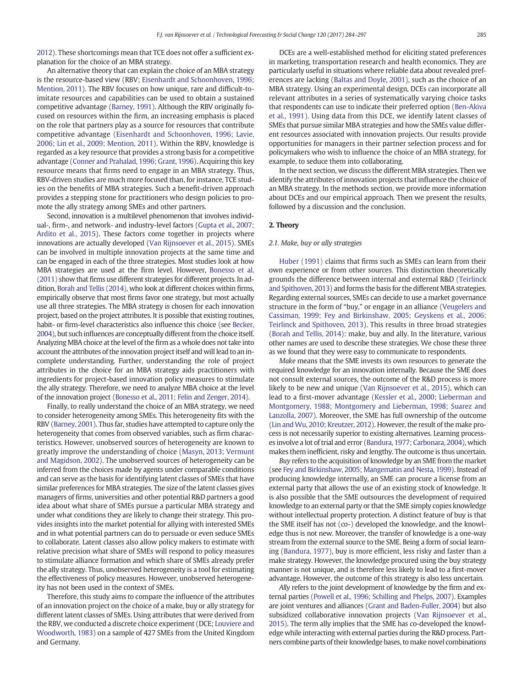<span id="page-1-0"></span>[2012](#page-12-0)). These shortcomings mean that TCE does not offer a sufficient explanation for the choice of an MBA strategy.

An alternative theory that can explain the choice of an MBA strategy is the resource-based view (RBV; [Eisenhardt and Schoonhoven, 1996;](#page-12-0) [Mention, 2011\)](#page-12-0). The RBV focuses on how unique, rare and difficult-toimitate resources and capabilities can be used to obtain a sustained competitive advantage [\(Barney, 1991](#page-12-0)). Although the RBV originally focused on resources within the firm, an increasing emphasis is placed on the role that partners play as a source for resources that contribute competitive advantage [\(Eisenhardt and Schoonhoven, 1996; Lavie,](#page-12-0) [2006; Lin et al., 2009; Mention, 2011](#page-12-0)). Within the RBV, knowledge is regarded as a key resource that provides a strong basis for a competitive advantage [\(Conner and Prahalad, 1996; Grant, 1996\)](#page-12-0). Acquiring this key resource means that firms need to engage in an MBA strategy. Thus, RBV-driven studies are much more focused than, for instance, TCE studies on the benefits of MBA strategies. Such a benefit-driven approach provides a stepping stone for practitioners who design policies to promote the ally strategy among SMEs and other partners.

Second, innovation is a multilevel phenomenon that involves individual-, firm-, and network- and industry-level factors ([Gupta et al., 2007;](#page-12-0) [Ardito et al., 2015](#page-12-0)). These factors come together in projects where innovations are actually developed [\(Van Rijnsoever et al., 2015\)](#page-13-0). SMEs can be involved in multiple innovation projects at the same time and can be engaged in each of the three strategies. Most studies look at how MBA strategies are used at the firm level. However, [Bonesso et al.](#page-12-0) [\(2011\)](#page-12-0) show that firms use different strategies for different projects. In addition, [Borah and Tellis \(2014\),](#page-12-0) who look at different choices within firms, empirically observe that most firms favor one strategy, but most actually use all three strategies. The MBA strategy is chosen for each innovation project, based on the project attributes. It is possible that existing routines, habit- or firm-level characteristics also influence this choice (see [Becker,](#page-12-0) [2004\)](#page-12-0), but such influences are conceptually different from the choice itself. Analyzing MBA choice at the level of the firm as a whole does not take into account the attributes of the innovation project itself and will lead to an incomplete understanding. Further, understanding the role of project attributes in the choice for an MBA strategy aids practitioners with ingredients for project-based innovation policy measures to stimulate the ally strategy. Therefore, we need to analyze MBA choice at the level of the innovation project [\(Bonesso et al., 2011; Felin and Zenger, 2014](#page-12-0)).

Finally, to really understand the choice of an MBA strategy, we need to consider heterogeneity among SMEs. This heterogeneity fits with the RBV [\(Barney, 2001](#page-12-0)). Thus far, studies have attempted to capture only the heterogeneity that comes from observed variables, such as firm characteristics. However, unobserved sources of heterogeneity are known to greatly improve the understanding of choice (Masyn, [2013; Vermunt](#page-13-0) [and Magidson, 2002\)](#page-13-0). The unobserved sources of heterogeneity can be inferred from the choices made by agents under comparable conditions and can serve as the basis for identifying latent classes of SMEs that have similar preferences for MBA strategies. The size of the latent classes gives managers of firms, universities and other potential R&D partners a good idea about what share of SMEs pursue a particular MBA strategy and under what conditions they are likely to change their strategy. This provides insights into the market potential for allying with interested SMEs and in what potential partners can do to persuade or even seduce SMEs to collaborate. Latent classes also allow policy makers to estimate with relative precision what share of SMEs will respond to policy measures to stimulate alliance formation and which share of SMEs already prefer the ally strategy. Thus, unobserved heterogeneity is a tool for estimating the effectiveness of policy measures. However, unobserved heterogeneity has not been used in the context of SMEs.

Therefore, this study aims to compare the influence of the attributes of an innovation project on the choice of a make, buy or ally strategy for different latent classes of SMEs. Using attributes that were derived from the RBV, we conducted a discrete choice experiment (DCE; [Louviere and](#page-13-0) [Woodworth, 1983](#page-13-0)) on a sample of 427 SMEs from the United Kingdom and Germany.

DCEs are a well-established method for eliciting stated preferences in marketing, transportation research and health economics. They are particularly useful in situations where reliable data about revealed preferences are lacking ([Baltas and Doyle, 2001\)](#page-12-0), such as the choice of an MBA strategy. Using an experimental design, DCEs can incorporate all relevant attributes in a series of systematically varying choice tasks that respondents can use to indicate their preferred option [\(Ben-Akiva](#page-12-0) [et al., 1991\)](#page-12-0). Using data from this DCE, we identify latent classes of SMEs that pursue similar MBA strategies and how the SMEs value different resources associated with innovation projects. Our results provide opportunities for managers in their partner selection process and for policymakers who wish to influence the choice of an MBA strategy, for example, to seduce them into collaborating.

In the next section, we discuss the different MBA strategies. Then we identify the attributes of innovation projects that influence the choice of an MBA strategy. In the methods section, we provide more information about DCEs and our empirical approach. Then we present the results, followed by a discussion and the conclusion.

### 2. Theory

#### 2.1. Make, buy or ally strategies

[Huber \(1991\)](#page-12-0) claims that firms such as SMEs can learn from their own experience or from other sources. This distinction theoretically grounds the difference between internal and external R&D [\(Teirlinck](#page-13-0) [and Spithoven, 2013\)](#page-13-0) and forms the basis for the different MBA strategies. Regarding external sources, SMEs can decide to use a market governance structure in the form of "buy," or engage in an alliance [\(Veugelers and](#page-13-0) [Cassiman, 1999; Fey and Birkinshaw, 2005; Geyskens et al., 2006;](#page-13-0) [Teirlinck and Spithoven, 2013\)](#page-13-0). This results in three broad strategies [\(Borah and Tellis, 2014\)](#page-12-0): make, buy and ally. In the literature, various other names are used to describe these strategies. We chose these three as we found that they were easy to communicate to respondents.

Make means that the SME invests its own resources to generate the required knowledge for an innovation internally. Because the SME does not consult external sources, the outcome of the R&D process is more likely to be new and unique [\(Van Rijnsoever et al., 2015](#page-13-0)), which can lead to a first-mover advantage [\(Kessler et al., 2000; Lieberman and](#page-12-0) [Montgomery, 1988; Montgomery and Lieberman, 1998; Suarez and](#page-12-0) [Lanzolla, 2007](#page-12-0)). Moreover, the SME has full ownership of the outcome [\(Lin and Wu, 2010; Kreutzer, 2012\)](#page-13-0). However, the result of the make process is not necessarily superior to existing alternatives. Learning processes involve a lot of trial and error [\(Bandura, 1977; Carbonara, 2004](#page-12-0)), which makes them inefficient, risky and lengthy. The outcome is thus uncertain.

Buy refers to the acquisition of knowledge by an SME from the market (see [Fey and Birkinshaw, 2005; Mangematin and Nesta, 1999\)](#page-12-0). Instead of producing knowledge internally, an SME can procure a license from an external party that allows the use of an existing stock of knowledge. It is also possible that the SME outsources the development of required knowledge to an external party or that the SME simply copies knowledge without intellectual property protection. A distinct feature of buy is that the SME itself has not (co-) developed the knowledge, and the knowledge thus is not new. Moreover, the transfer of knowledge is a one-way stream from the external source to the SME. Being a form of social learning ([Bandura, 1977\)](#page-12-0), buy is more efficient, less risky and faster than a make strategy. However, the knowledge procured using the buy strategy manner is not unique, and is therefore less likely to lead to a first-mover advantage. However, the outcome of this strategy is also less uncertain.

Ally refers to the joint development of knowledge by the firm and external parties [\(Powell et al., 1996; Schilling and Phelps, 2007\)](#page-13-0). Examples are joint ventures and alliances [\(Grant and Baden-Fuller, 2004](#page-12-0)) but also subsidized collaborative innovation projects [\(Van Rijnsoever et al.,](#page-13-0) [2015](#page-13-0)). The term ally implies that the SME has co-developed the knowledge while interacting with external parties during the R&D process. Partners combine parts of their knowledge bases, to make novel combinations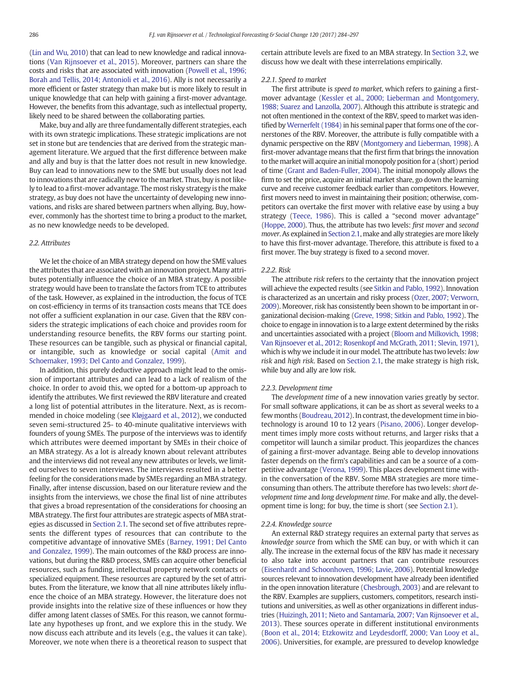[\(Lin and Wu, 2010\)](#page-13-0) that can lead to new knowledge and radical innovations ([Van Rijnsoever et al., 2015](#page-13-0)). Moreover, partners can share the costs and risks that are associated with innovation ([Powell et al., 1996;](#page-13-0) [Borah and Tellis, 2014; Antonioli et al., 2016](#page-13-0)). Ally is not necessarily a more efficient or faster strategy than make but is more likely to result in unique knowledge that can help with gaining a first-mover advantage. However, the benefits from this advantage, such as intellectual property, likely need to be shared between the collaborating parties.

Make, buy and ally are three fundamentally different strategies, each with its own strategic implications. These strategic implications are not set in stone but are tendencies that are derived from the strategic management literature. We argued that the first difference between make and ally and buy is that the latter does not result in new knowledge. Buy can lead to innovations new to the SME but usually does not lead to innovations that are radically new to the market. Thus, buy is not likely to lead to a first-mover advantage. The most risky strategy is the make strategy, as buy does not have the uncertainty of developing new innovations, and risks are shared between partners when allying. Buy, however, commonly has the shortest time to bring a product to the market, as no new knowledge needs to be developed.

#### 2.2. Attributes

We let the choice of an MBA strategy depend on how the SME values the attributes that are associated with an innovation project. Many attributes potentially influence the choice of an MBA strategy. A possible strategy would have been to translate the factors from TCE to attributes of the task. However, as explained in the introduction, the focus of TCE on cost-efficiency in terms of its transaction costs means that TCE does not offer a sufficient explanation in our case. Given that the RBV considers the strategic implications of each choice and provides room for understanding resource benefits, the RBV forms our starting point. These resources can be tangible, such as physical or financial capital, or intangible, such as knowledge or social capital [\(Amit and](#page-12-0) [Schoemaker, 1993; Del Canto and Gonzalez, 1999\)](#page-12-0).

In addition, this purely deductive approach might lead to the omission of important attributes and can lead to a lack of realism of the choice. In order to avoid this, we opted for a bottom-up approach to identify the attributes. We first reviewed the RBV literature and created a long list of potential attributes in the literature. Next, as is recommended in choice modeling (see [Kløjgaard et al., 2012](#page-12-0)), we conducted seven semi-structured 25- to 40-minute qualitative interviews with founders of young SMEs. The purpose of the interviews was to identify which attributes were deemed important by SMEs in their choice of an MBA strategy. As a lot is already known about relevant attributes and the interviews did not reveal any new attributes or levels, we limited ourselves to seven interviews. The interviews resulted in a better feeling for the considerations made by SMEs regarding an MBA strategy. Finally, after intense discussion, based on our literature review and the insights from the interviews, we chose the final list of nine attributes that gives a broad representation of the considerations for choosing an MBA strategy. The first four attributes are strategic aspects of MBA strategies as discussed in [Section 2.1.](#page-1-0) The second set of five attributes represents the different types of resources that can contribute to the competitive advantage of innovative SMEs ([Barney, 1991; Del Canto](#page-12-0) [and Gonzalez, 1999](#page-12-0)). The main outcomes of the R&D process are innovations, but during the R&D process, SMEs can acquire other beneficial resources, such as funding, intellectual property network contacts or specialized equipment. These resources are captured by the set of attributes. From the literature, we know that all nine attributes likely influence the choice of an MBA strategy. However, the literature does not provide insights into the relative size of these influences or how they differ among latent classes of SMEs. For this reason, we cannot formulate any hypotheses up front, and we explore this in the study. We now discuss each attribute and its levels (e.g., the values it can take). Moreover, we note when there is a theoretical reason to suspect that

certain attribute levels are fixed to an MBA strategy. In [Section 3.2,](#page-5-0) we discuss how we dealt with these interrelations empirically.

#### 2.2.1. Speed to market

The first attribute is speed to market, which refers to gaining a firstmover advantage [\(Kessler et al., 2000; Lieberman and Montgomery,](#page-12-0) [1988; Suarez and Lanzolla, 2007](#page-12-0)). Although this attribute is strategic and not often mentioned in the context of the RBV, speed to market was identified by [Wernerfelt \(1984\)](#page-13-0) in his seminal paper that forms one of the cornerstones of the RBV. Moreover, the attribute is fully compatible with a dynamic perspective on the RBV [\(Montgomery and Lieberman, 1998](#page-13-0)). A first-mover advantage means that the first firm that brings the innovation to the market will acquire an initial monopoly position for a (short) period of time [\(Grant and Baden-Fuller, 2004\)](#page-12-0). The initial monopoly allows the firm to set the price, acquire an initial market share, go down the learning curve and receive customer feedback earlier than competitors. However, first movers need to invest in maintaining their position; otherwise, competitors can overtake the first mover with relative ease by using a buy strategy [\(Teece, 1986](#page-13-0)). This is called a "second mover advantage" [\(Hoppe, 2000](#page-12-0)). Thus, the attribute has two levels: first mover and second mover. As explained in [Section 2.1,](#page-1-0) make and ally strategies are more likely to have this first-mover advantage. Therefore, this attribute is fixed to a first mover. The buy strategy is fixed to a second mover.

#### 2.2.2. Risk

The attribute risk refers to the certainty that the innovation project will achieve the expected results (see [Sitkin and Pablo, 1992](#page-13-0)). Innovation is characterized as an uncertain and risky process [\(Ozer, 2007; Verworn,](#page-13-0) [2009](#page-13-0)). Moreover, risk has consistently been shown to be important in organizational decision-making [\(Greve, 1998; Sitkin and Pablo, 1992\)](#page-12-0). The choice to engage in innovation is to a large extent determined by the risks and uncertainties associated with a project [\(Bloom and Milkovich, 1998;](#page-12-0) [Van Rijnsoever et al., 2012; Rosenkopf](#page-12-0) and McGrath, 2011; Slevin, 1971), which is why we include it in our model. The attribute has two levels: low risk and high risk. Based on [Section 2.1](#page-1-0), the make strategy is high risk, while buy and ally are low risk.

#### 2.2.3. Development time

The development time of a new innovation varies greatly by sector. For small software applications, it can be as short as several weeks to a few months ([Boudreau, 2012\)](#page-12-0). In contrast, the development time in biotechnology is around 10 to 12 years [\(Pisano, 2006](#page-13-0)). Longer development times imply more costs without returns, and larger risks that a competitor will launch a similar product. This jeopardizes the chances of gaining a first-mover advantage. Being able to develop innovations faster depends on the firm's capabilities and can be a source of a competitive advantage [\(Verona, 1999](#page-13-0)). This places development time within the conversation of the RBV. Some MBA strategies are more timeconsuming than others. The attribute therefore has two levels: short development time and long development time. For make and ally, the development time is long; for buy, the time is short (see [Section 2.1](#page-1-0)).

#### 2.2.4. Knowledge source

An external R&D strategy requires an external party that serves as knowledge source from which the SME can buy, or with which it can ally. The increase in the external focus of the RBV has made it necessary to also take into account partners that can contribute resources [\(Eisenhardt and Schoonhoven, 1996; Lavie, 2006](#page-12-0)). Potential knowledge sources relevant to innovation development have already been identified in the open innovation literature ([Chesbrough, 2003](#page-12-0)) and are relevant to the RBV. Examples are suppliers, customers, competitors, research institutions and universities, as well as other organizations in different industries [\(Huizingh, 2011; Nieto and Santamaría, 2007; Van Rijnsoever et al.,](#page-12-0) [2013\)](#page-12-0). These sources operate in different institutional environments [\(Boon et al., 2014; Etzkowitz and Leydesdorff, 2000; Van Looy et al.,](#page-12-0) [2006\)](#page-12-0). Universities, for example, are pressured to develop knowledge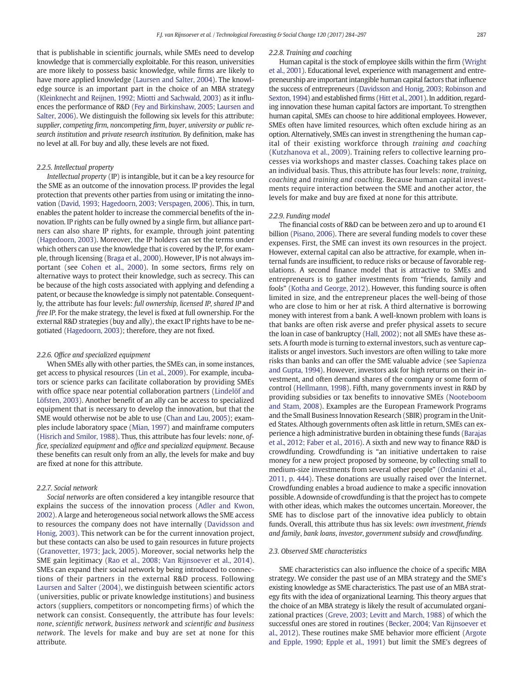that is publishable in scientific journals, while SMEs need to develop knowledge that is commercially exploitable. For this reason, universities are more likely to possess basic knowledge, while firms are likely to have more applied knowledge [\(Laursen and Salter, 2004](#page-13-0)). The knowledge source is an important part in the choice of an MBA strategy [\(Kleinknecht and Reijnen, 1992; Miotti and Sachwald, 2003](#page-12-0)) as it influences the performance of R&D [\(Fey and Birkinshaw, 2005; Laursen and](#page-12-0) [Salter, 2006\)](#page-12-0). We distinguish the following six levels for this attribute: supplier, competing firm, noncompeting firm, buyer, university or public research institution and private research institution. By definition, make has no level at all. For buy and ally, these levels are not fixed.

#### 2.2.5. Intellectual property

Intellectual property (IP) is intangible, but it can be a key resource for the SME as an outcome of the innovation process. IP provides the legal protection that prevents other parties from using or imitating the innovation [\(David, 1993; Hagedoorn, 2003; Verspagen, 2006\)](#page-12-0). This, in turn, enables the patent holder to increase the commercial benefits of the innovation. IP rights can be fully owned by a single firm, but alliance partners can also share IP rights, for example, through joint patenting [\(Hagedoorn, 2003](#page-12-0)). Moreover, the IP holders can set the terms under which others can use the knowledge that is covered by the IP, for example, through licensing ([Braga et al., 2000\)](#page-12-0). However, IP is not always important (see [Cohen et al., 2000\)](#page-12-0). In some sectors, firms rely on alternative ways to protect their knowledge, such as secrecy. This can be because of the high costs associated with applying and defending a patent, or because the knowledge is simply not patentable. Consequently, the attribute has four levels: full ownership, licensed IP, shared IP and free IP. For the make strategy, the level is fixed at full ownership. For the external R&D strategies (buy and ally), the exact IP rights have to be negotiated [\(Hagedoorn, 2003\)](#page-12-0); therefore, they are not fixed.

#### 2.2.6. Office and specialized equipment

When SMEs ally with other parties, the SMEs can, in some instances, get access to physical resources [\(Lin et al., 2009\)](#page-13-0). For example, incubators or science parks can facilitate collaboration by providing SMEs with office space near potential collaboration partners ([Lindelöf and](#page-13-0) [Löfsten, 2003](#page-13-0)). Another benefit of an ally can be access to specialized equipment that is necessary to develop the innovation, but that the SME would otherwise not be able to use [\(Chan and Lau, 2005](#page-12-0)); examples include laboratory space [\(Mian, 1997\)](#page-13-0) and mainframe computers [\(Hisrich and Smilor, 1988\)](#page-12-0). Thus, this attribute has four levels: none, office, specialized equipment and office and specialized equipment. Because these benefits can result only from an ally, the levels for make and buy are fixed at none for this attribute.

#### 2.2.7. Social network

Social networks are often considered a key intangible resource that explains the success of the innovation process [\(Adler and Kwon,](#page-12-0) [2002](#page-12-0)). A large and heterogeneous social network allows the SME access to resources the company does not have internally [\(Davidsson and](#page-12-0) [Honig, 2003](#page-12-0)). This network can be for the current innovation project, but these contacts can also be used to gain resources in future projects [\(Granovetter, 1973; Jack, 2005\)](#page-12-0). Moreover, social networks help the SME gain legitimacy ([Rao et al., 2008; Van Rijnsoever et al., 2014](#page-13-0)). SMEs can expand their social network by being introduced to connections of their partners in the external R&D process. Following [Laursen and Salter \(2004\),](#page-13-0) we distinguish between scientific actors (universities, public or private knowledge institutions) and business actors (suppliers, competitors or noncompeting firms) of which the network can consist. Consequently, the attribute has four levels: none, scientific network, business network and scientific and business network. The levels for make and buy are set at none for this attribute.

#### 2.2.8. Training and coaching

Human capital is the stock of employee skills within the firm ([Wright](#page-13-0) [et al., 2001](#page-13-0)). Educational level, experience with management and entrepreneurship are important intangible human capital factors that influence the success of entrepreneurs ([Davidsson and Honig, 2003; Robinson and](#page-12-0) [Sexton, 1994\)](#page-12-0) and established firms ([Hitt et al., 2001\)](#page-12-0). In addition, regarding innovation these human capital factors are important. To strengthen human capital, SMEs can choose to hire additional employees. However, SMEs often have limited resources, which often exclude hiring as an option. Alternatively, SMEs can invest in strengthening the human capital of their existing workforce through training and coaching [\(Kutzhanova et al., 2009](#page-12-0)). Training refers to collective learning processes via workshops and master classes. Coaching takes place on an individual basis. Thus, this attribute has four levels: none, training, coaching and training and coaching. Because human capital investments require interaction between the SME and another actor, the levels for make and buy are fixed at none for this attribute.

#### 2.2.9. Funding model

The financial costs of R&D can be between zero and up to around  $\epsilon$ 1 billion ([Pisano, 2006](#page-13-0)). There are several funding models to cover these expenses. First, the SME can invest its own resources in the project. However, external capital can also be attractive, for example, when internal funds are insufficient, to reduce risks or because of favorable regulations. A second finance model that is attractive to SMEs and entrepreneurs is to gather investments from "friends, family and fools" [\(Kotha and George, 2012\)](#page-12-0). However, this funding source is often limited in size, and the entrepreneur places the well-being of those who are close to him or her at risk. A third alternative is borrowing money with interest from a bank. A well-known problem with loans is that banks are often risk averse and prefer physical assets to secure the loan in case of bankruptcy [\(Hall, 2002\)](#page-12-0); not all SMEs have these assets. A fourth mode is turning to external investors, such as venture capitalists or angel investors. Such investors are often willing to take more risks than banks and can offer the SME valuable advice (see [Sapienza](#page-13-0) [and Gupta, 1994\)](#page-13-0). However, investors ask for high returns on their investment, and often demand shares of the company or some form of control [\(Hellmann, 1998](#page-12-0)). Fifth, many governments invest in R&D by providing subsidies or tax benefits to innovative SMEs ([Nooteboom](#page-13-0) [and Stam, 2008\)](#page-13-0). Examples are the European Framework Programs and the Small Business Innovation Research (SBIR) program in the United States. Although governments often ask little in return, SMEs can experience a high administrative burden in obtaining these funds [\(Barajas](#page-12-0) [et al., 2012; Faber et al., 2016](#page-12-0)). A sixth and new way to finance R&D is crowdfunding. Crowdfunding is "an initiative undertaken to raise money for a new project proposed by someone, by collecting small to medium-size investments from several other people" ([Ordanini et al.,](#page-13-0) [2011, p. 444\)](#page-13-0). These donations are usually raised over the Internet. Crowdfunding enables a broad audience to make a specific innovation possible. A downside of crowdfunding is that the project has to compete with other ideas, which makes the outcomes uncertain. Moreover, the SME has to disclose part of the innovative idea publicly to obtain funds. Overall, this attribute thus has six levels: own investment, friends and family, bank loans, investor, government subsidy and crowdfunding.

#### 2.3. Observed SME characteristics

SME characteristics can also influence the choice of a specific MBA strategy. We consider the past use of an MBA strategy and the SME's existing knowledge as SME characteristics. The past use of an MBA strategy fits with the idea of organizational Learning. This theory argues that the choice of an MBA strategy is likely the result of accumulated organizational practices ([Greve, 2003; Levitt and March, 1988](#page-12-0)) of which the successful ones are stored in routines ([Becker, 2004; Van Rijnsoever et](#page-12-0) [al., 2012](#page-12-0)). These routines make SME behavior more efficient [\(Argote](#page-12-0) [and Epple, 1990; Epple et al., 1991\)](#page-12-0) but limit the SME's degrees of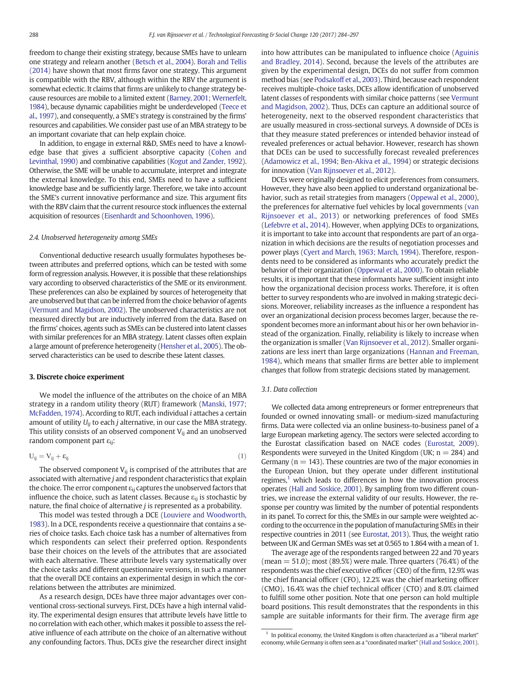freedom to change their existing strategy, because SMEs have to unlearn one strategy and relearn another [\(Betsch et al., 2004](#page-12-0)). [Borah and Tellis](#page-12-0) [\(2014\)](#page-12-0) have shown that most firms favor one strategy. This argument is compatible with the RBV, although within the RBV the argument is somewhat eclectic. It claims that firms are unlikely to change strategy because resources are mobile to a limited extent ([Barney, 2001; Wernerfelt,](#page-12-0) [1984](#page-12-0)), because dynamic capabilities might be underdeveloped [\(Teece et](#page-13-0) [al., 1997](#page-13-0)), and consequently, a SME's strategy is constrained by the firms' resources and capabilities. We consider past use of an MBA strategy to be an important covariate that can help explain choice.

In addition, to engage in external R&D, SMEs need to have a knowledge base that gives a sufficient absorptive capacity [\(Cohen and](#page-12-0) [Levinthal, 1990\)](#page-12-0) and combinative capabilities [\(Kogut and Zander, 1992\)](#page-12-0). Otherwise, the SME will be unable to accumulate, interpret and integrate the external knowledge. To this end, SMEs need to have a sufficient knowledge base and be sufficiently large. Therefore, we take into account the SME's current innovative performance and size. This argument fits with the RBV claim that the current resource stock influences the external acquisition of resources ([Eisenhardt and Schoonhoven, 1996\)](#page-12-0).

#### 2.4. Unobserved heterogeneity among SMEs

Conventional deductive research usually formulates hypotheses between attributes and preferred options, which can be tested with some form of regression analysis. However, it is possible that these relationships vary according to observed characteristics of the SME or its environment. These preferences can also be explained by sources of heterogeneity that are unobserved but that can be inferred from the choice behavior of agents [\(Vermunt and Magidson, 2002\)](#page-13-0). The unobserved characteristics are not measured directly but are inductively inferred from the data. Based on the firms' choices, agents such as SMEs can be clustered into latent classes with similar preferences for an MBA strategy. Latent classes often explain a large amount of preference heterogeneity [\(Hensher et al., 2005](#page-12-0)). The observed characteristics can be used to describe these latent classes.

#### 3. Discrete choice experiment

We model the influence of the attributes on the choice of an MBA strategy in a random utility theory (RUT) framework [\(Manski, 1977;](#page-13-0) [McFadden, 1974\)](#page-13-0). According to RUT, each individual i attaches a certain amount of utility  $U_{ij}$  to each *j* alternative, in our case the MBA strategy. This utility consists of an observed component  $V_{ii}$  and an unobserved random component part  $\varepsilon_{ii}$ :

$$
U_{ij} = V_{ij} + \varepsilon_{ij} \tag{1}
$$

The observed component  $V_{ii}$  is comprised of the attributes that are associated with alternative j and respondent characteristics that explain the choice. The error component  $\varepsilon_{ij}$  captures the unobserved factors that influence the choice, such as latent classes. Because  $\varepsilon_{ii}$  is stochastic by nature, the final choice of alternative  $j$  is represented as a probability.

This model was tested through a DCE ([Louviere and Woodworth,](#page-13-0) [1983\)](#page-13-0). In a DCE, respondents receive a questionnaire that contains a series of choice tasks. Each choice task has a number of alternatives from which respondents can select their preferred option. Respondents base their choices on the levels of the attributes that are associated with each alternative. These attribute levels vary systematically over the choice tasks and different questionnaire versions, in such a manner that the overall DCE contains an experimental design in which the correlations between the attributes are minimized.

As a research design, DCEs have three major advantages over conventional cross-sectional surveys. First, DCEs have a high internal validity. The experimental design ensures that attribute levels have little to no correlation with each other, which makes it possible to assess the relative influence of each attribute on the choice of an alternative without any confounding factors. Thus, DCEs give the researcher direct insight into how attributes can be manipulated to influence choice [\(Aguinis](#page-12-0) [and Bradley, 2014](#page-12-0)). Second, because the levels of the attributes are given by the experimental design, DCEs do not suffer from common method bias (see [Podsakoff et al., 2003\)](#page-13-0). Third, because each respondent receives multiple-choice tasks, DCEs allow identification of unobserved latent classes of respondents with similar choice patterns (see [Vermunt](#page-13-0) [and Magidson, 2002](#page-13-0)). Thus, DCEs can capture an additional source of heterogeneity, next to the observed respondent characteristics that are usually measured in cross-sectional surveys. A downside of DCEs is that they measure stated preferences or intended behavior instead of revealed preferences or actual behavior. However, research has shown that DCEs can be used to successfully forecast revealed preferences [\(Adamowicz et al., 1994; Ben-Akiva et al., 1994\)](#page-12-0) or strategic decisions for innovation ([Van Rijnsoever et al., 2012\)](#page-13-0).

DCEs were originally designed to elicit preferences from consumers. However, they have also been applied to understand organizational behavior, such as retail strategies from managers [\(Oppewal et al., 2000\)](#page-13-0), the preferences for alternative fuel vehicles by local governments ([van](#page-13-0) [Rijnsoever et al., 2013](#page-13-0)) or networking preferences of food SMEs [\(Lefebvre et al., 2014\)](#page-13-0). However, when applying DCEs to organizations, it is important to take into account that respondents are part of an organization in which decisions are the results of negotiation processes and power plays ([Cyert and March, 1963; March, 1994](#page-12-0)). Therefore, respondents need to be considered as informants who accurately predict the behavior of their organization [\(Oppewal et al., 2000](#page-13-0)). To obtain reliable results, it is important that these informants have sufficient insight into how the organizational decision process works. Therefore, it is often better to survey respondents who are involved in making strategic decisions. Moreover, reliability increases as the influence a respondent has over an organizational decision process becomes larger, because the respondent becomes more an informant about his or her own behavior instead of the organization. Finally, reliability is likely to increase when the organization is smaller ([Van Rijnsoever et al., 2012\)](#page-13-0). Smaller organizations are less inert than large organizations ([Hannan and Freeman,](#page-12-0) [1984](#page-12-0)), which means that smaller firms are better able to implement changes that follow from strategic decisions stated by management.

#### 3.1. Data collection

We collected data among entrepreneurs or former entrepreneurs that founded or owned innovating small- or medium-sized manufacturing firms. Data were collected via an online business-to-business panel of a large European marketing agency. The sectors were selected according to the Eurostat classification based on NACE codes ([Eurostat, 2009\)](#page-12-0). Respondents were surveyed in the United Kingdom (UK;  $n = 284$ ) and Germany ( $n = 143$ ). These countries are two of the major economies in the European Union, but they operate under different institutional regimes, $1$  which leads to differences in how the innovation process operates ([Hall and Soskice, 2001](#page-12-0)). By sampling from two different countries, we increase the external validity of our results. However, the response per country was limited by the number of potential respondents in its panel. To correct for this, the SMEs in our sample were weighted according to the occurrence in the population of manufacturing SMEs in their respective countries in 2011 (see [Eurostat, 2013](#page-12-0)). Thus, the weight ratio between UK and German SMEs was set at 0.565 to 1.864 with a mean of 1.

The average age of the respondents ranged between 22 and 70 years (mean  $= 51.0$ ); most (89.5%) were male. Three quarters (76.4%) of the respondents was the chief executive officer (CEO) of the firm, 12.9% was the chief financial officer (CFO), 12.2% was the chief marketing officer (CMO), 16.4% was the chief technical officer (CTO) and 8.0% claimed to fulfill some other position. Note that one person can hold multiple board positions. This result demonstrates that the respondents in this sample are suitable informants for their firm. The average firm age

 $1$  In political economy, the United Kingdom is often characterized as a "liberal market" economy, while Germany is often seen as a "coordinated market" ([Hall and Soskice, 2001\)](#page-12-0).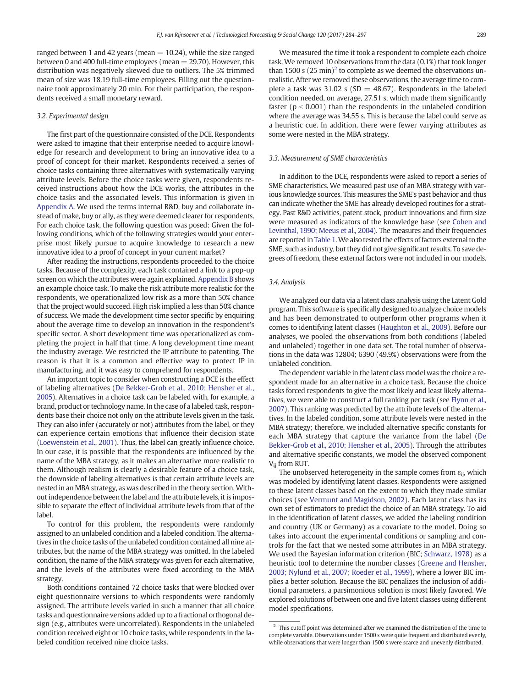<span id="page-5-0"></span>ranged between 1 and 42 years (mean  $= 10.24$ ), while the size ranged between 0 and 400 full-time employees (mean  $= 29.70$ ). However, this distribution was negatively skewed due to outliers. The 5% trimmed mean of size was 18.19 full-time employees. Filling out the questionnaire took approximately 20 min. For their participation, the respondents received a small monetary reward.

#### 3.2. Experimental design

The first part of the questionnaire consisted of the DCE. Respondents were asked to imagine that their enterprise needed to acquire knowledge for research and development to bring an innovative idea to a proof of concept for their market. Respondents received a series of choice tasks containing three alternatives with systematically varying attribute levels. Before the choice tasks were given, respondents received instructions about how the DCE works, the attributes in the choice tasks and the associated levels. This information is given in [Appendix A.](#page-10-0) We used the terms internal R&D, buy and collaborate instead of make, buy or ally, as they were deemed clearer for respondents. For each choice task, the following question was posed: Given the following conditions, which of the following strategies would your enterprise most likely pursue to acquire knowledge to research a new innovative idea to a proof of concept in your current market?

After reading the instructions, respondents proceeded to the choice tasks. Because of the complexity, each task contained a link to a pop-up screen on which the attributes were again explained. [Appendix B](#page-11-0) shows an example choice task. To make the risk attribute more realistic for the respondents, we operationalized low risk as a more than 50% chance that the project would succeed. High risk implied a less than 50% chance of success. We made the development time sector specific by enquiring about the average time to develop an innovation in the respondent's specific sector. A short development time was operationalized as completing the project in half that time. A long development time meant the industry average. We restricted the IP attribute to patenting. The reason is that it is a common and effective way to protect IP in manufacturing, and it was easy to comprehend for respondents.

An important topic to consider when constructing a DCE is the effect of labeling alternatives [\(De Bekker-Grob et al., 2010; Hensher et al.,](#page-12-0) [2005](#page-12-0)). Alternatives in a choice task can be labeled with, for example, a brand, product or technology name. In the case of a labeled task, respondents base their choice not only on the attribute levels given in the task. They can also infer (accurately or not) attributes from the label, or they can experience certain emotions that influence their decision state [\(Loewenstein et al., 2001\)](#page-13-0). Thus, the label can greatly influence choice. In our case, it is possible that the respondents are influenced by the name of the MBA strategy, as it makes an alternative more realistic to them. Although realism is clearly a desirable feature of a choice task, the downside of labeling alternatives is that certain attribute levels are nested in an MBA strategy, as was described in the theory section. Without independence between the label and the attribute levels, it is impossible to separate the effect of individual attribute levels from that of the label.

To control for this problem, the respondents were randomly assigned to an unlabeled condition and a labeled condition. The alternatives in the choice tasks of the unlabeled condition contained all nine attributes, but the name of the MBA strategy was omitted. In the labeled condition, the name of the MBA strategy was given for each alternative, and the levels of the attributes were fixed according to the MBA strategy.

Both conditions contained 72 choice tasks that were blocked over eight questionnaire versions to which respondents were randomly assigned. The attribute levels varied in such a manner that all choice tasks and questionnaire versions added up to a fractional orthogonal design (e.g., attributes were uncorrelated). Respondents in the unlabeled condition received eight or 10 choice tasks, while respondents in the labeled condition received nine choice tasks.

We measured the time it took a respondent to complete each choice task. We removed 10 observations from the data (0.1%) that took longer than 1500 s  $(25 \text{ min})^2$  to complete as we deemed the observations unrealistic. After we removed these observations, the average time to complete a task was  $31.02$  s (SD = 48.67). Respondents in the labeled condition needed, on average, 27.51 s, which made them significantly faster ( $p < 0.001$ ) than the respondents in the unlabeled condition where the average was 34.55 s. This is because the label could serve as a heuristic cue. In addition, there were fewer varying attributes as some were nested in the MBA strategy.

#### 3.3. Measurement of SME characteristics

In addition to the DCE, respondents were asked to report a series of SME characteristics. We measured past use of an MBA strategy with various knowledge sources. This measures the SME's past behavior and thus can indicate whether the SME has already developed routines for a strategy. Past R&D activities, patent stock, product innovations and firm size were measured as indicators of the knowledge base (see [Cohen and](#page-12-0) [Levinthal, 1990; Meeus et al., 2004\)](#page-12-0). The measures and their frequencies are reported in [Table 1](#page-6-0).We also tested the effects of factors external to the SME, such as industry, but they did not give significant results. To save degrees of freedom, these external factors were not included in our models.

#### 3.4. Analysis

We analyzed our data via a latent class analysis using the Latent Gold program. This software is specifically designed to analyze choice models and has been demonstrated to outperform other programs when it comes to identifying latent classes [\(Haughton et al., 2009\)](#page-12-0). Before our analyses, we pooled the observations from both conditions (labeled and unlabeled) together in one data set. The total number of observations in the data was 12804; 6390 (49.9%) observations were from the unlabeled condition.

The dependent variable in the latent class model was the choice a respondent made for an alternative in a choice task. Because the choice tasks forced respondents to give the most likely and least likely alternatives, we were able to construct a full ranking per task (see [Flynn et al.,](#page-12-0) [2007](#page-12-0)). This ranking was predicted by the attribute levels of the alternatives. In the labeled condition, some attribute levels were nested in the MBA strategy; therefore, we included alternative specific constants for each MBA strategy that capture the variance from the label ([De](#page-12-0) [Bekker-Grob et al., 2010; Hensher et al., 2005](#page-12-0)). Through the attributes and alternative specific constants, we model the observed component Vij from RUT.

The unobserved heterogeneity in the sample comes from  $\varepsilon_{ii}$ , which was modeled by identifying latent classes. Respondents were assigned to these latent classes based on the extent to which they made similar choices (see [Vermunt and Magidson, 2002](#page-13-0)). Each latent class has its own set of estimators to predict the choice of an MBA strategy. To aid in the identification of latent classes, we added the labeling condition and country (UK or Germany) as a covariate to the model. Doing so takes into account the experimental conditions or sampling and controls for the fact that we nested some attributes in an MBA strategy. We used the Bayesian information criterion (BIC; [Schwarz, 1978](#page-13-0)) as a heuristic tool to determine the number classes [\(Greene and Hensher,](#page-12-0) [2003; Nylund et al., 2007; Roeder et al., 1999](#page-12-0)), where a lower BIC implies a better solution. Because the BIC penalizes the inclusion of additional parameters, a parsimonious solution is most likely favored. We explored solutions of between one and five latent classes using different model specifications.

 $^{\rm 2}$  This cutoff point was determined after we examined the distribution of the time to complete variable. Observations under 1500 s were quite frequent and distributed evenly, while observations that were longer than 1500 s were scarce and unevenly distributed.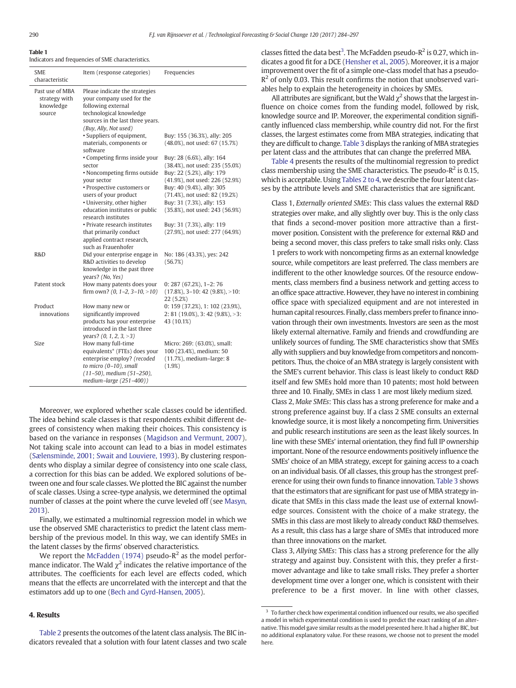#### <span id="page-6-0"></span>Table 1

Indicators and frequencies of SME characteristics.

| <b>SME</b><br>characteristic                            | Item (response categories)                                                                                                                                                                                    | Frequencies                                                                                                                                                                                                                                             |
|---------------------------------------------------------|---------------------------------------------------------------------------------------------------------------------------------------------------------------------------------------------------------------|---------------------------------------------------------------------------------------------------------------------------------------------------------------------------------------------------------------------------------------------------------|
| Past use of MBA<br>strategy with<br>knowledge<br>source | Please indicate the strategies<br>your company used for the<br>following external<br>technological knowledge<br>sources in the last three years.<br>(Buy, Ally, Not used)                                     |                                                                                                                                                                                                                                                         |
|                                                         | • Suppliers of equipment,<br>materials, components or<br>software                                                                                                                                             | Buy: 155 (36.3%), ally: 205<br>(48.0%), not used: 67 (15.7%)                                                                                                                                                                                            |
|                                                         | • Competing firms inside your<br>sector<br>• Noncompeting firms outside<br>vour sector<br>• Prospective customers or<br>users of your product<br>• University, other higher<br>education institutes or public | Buy: 28 (6.6%), ally: 164<br>(38.4%), not used: 235 (55.0%)<br>Buy: 22 (5.2%), ally: 179<br>(41.9%), not used: 226 (52.9%)<br>Buy: 40 (9.4%), ally: 305<br>(71.4%), not used: 82 (19.2%)<br>Buy: 31 (7.3%), ally: 153<br>(35.8%), not used: 243 (56.9%) |
|                                                         | research institutes<br>• Private research institutes<br>that primarily conduct<br>applied contract research.<br>such as Frauenhofer                                                                           | Buy: 31 (7.3%), ally: 119<br>(27.9%), not used: 277 (64.9%)                                                                                                                                                                                             |
| R&D                                                     | Did your enterprise engage in<br>R&D activities to develop<br>knowledge in the past three<br>years? (No, Yes)                                                                                                 | No: 186 (43.3%), yes: 242<br>(56.7%)                                                                                                                                                                                                                    |
| Patent stock                                            | How many patents does your<br>firm own? $(0, 1-2, 3-10, >10)$                                                                                                                                                 | $0: 287(67.2%)$ , 1-2:76<br>$(17.8\%)$ , 3-10; 42 $(9.8\%)$ , >10;<br>22 (5.2%)                                                                                                                                                                         |
| Product<br>innovations                                  | How many new or<br>significantly improved<br>products has your enterprise<br>introduced in the last three<br>years? $(0, 1, 2, 3, >3)$                                                                        | $0: 159(37.2\%)$ , 1: 102 (23.9%),<br>$2: 81 (19.0\%)$ , 3: 42 (9.8%), >3:<br>43 (10.1%)                                                                                                                                                                |
| <b>Size</b>                                             | How many full-time<br>equivalents <sup>*</sup> (FTEs) does your<br>enterprise employ? (recoded<br>to micro $(0-10)$ , small<br>(11-50), medium (51-250),<br>medium-large (251-400))                           | Micro: 269: (63.0%), small:<br>100 (23.4%), medium: 50<br>$(11.7%)$ , medium-large: 8<br>(1.9%)                                                                                                                                                         |

Moreover, we explored whether scale classes could be identified. The idea behind scale classes is that respondents exhibit different degrees of consistency when making their choices. This consistency is based on the variance in responses [\(Magidson and Vermunt, 2007](#page-13-0)). Not taking scale into account can lead to a bias in model estimates [\(Sælensminde, 2001; Swait and Louviere, 1993](#page-13-0)). By clustering respondents who display a similar degree of consistency into one scale class, a correction for this bias can be added. We explored solutions of between one and four scale classes.We plotted the BIC against the number of scale classes. Using a scree-type analysis, we determined the optimal number of classes at the point where the curve leveled off (see [Masyn,](#page-13-0) [2013\)](#page-13-0).

Finally, we estimated a multinomial regression model in which we use the observed SME characteristics to predict the latent class membership of the previous model. In this way, we can identify SMEs in the latent classes by the firms' observed characteristics.

We report the [McFadden \(1974\)](#page-13-0) pseudo- $R^2$  as the model performance indicator. The Wald  $\chi^2$  indicates the relative importance of the attributes. The coefficients for each level are effects coded, which means that the effects are uncorrelated with the intercept and that the estimators add up to one ([Bech and Gyrd-Hansen, 2005](#page-12-0)).

#### 4. Results

[Table 2](#page-7-0) presents the outcomes of the latent class analysis. The BIC indicators revealed that a solution with four latent classes and two scale classes fitted the data best<sup>3</sup>. The McFadden pseudo- $R^2$  is 0.27, which indicates a good fit for a DCE ([Hensher et al., 2005\)](#page-12-0). Moreover, it is a major improvement over the fit of a simple one-class model that has a pseudo- $R<sup>2</sup>$  of only 0.03. This result confirms the notion that unobserved variables help to explain the heterogeneity in choices by SMEs.

All attributes are significant, but the Wald  $\chi^2$  shows that the largest influence on choice comes from the funding model, followed by risk, knowledge source and IP. Moreover, the experimental condition significantly influenced class membership, while country did not. For the first classes, the largest estimates come from MBA strategies, indicating that they are difficult to change. [Table 3](#page-8-0) displays the ranking of MBA strategies per latent class and the attributes that can change the preferred MBA.

[Table 4](#page-8-0) presents the results of the multinomial regression to predict class membership using the SME characteristics. The pseudo- $R^2$  is 0.15, which is acceptable. Using [Tables 2 to 4](#page-7-0), we describe the four latent classes by the attribute levels and SME characteristics that are significant.

Class 1, Externally oriented SMEs: This class values the external R&D strategies over make, and ally slightly over buy. This is the only class that finds a second-mover position more attractive than a firstmover position. Consistent with the preference for external R&D and being a second mover, this class prefers to take small risks only. Class 1 prefers to work with noncompeting firms as an external knowledge source, while competitors are least preferred. The class members are indifferent to the other knowledge sources. Of the resource endowments, class members find a business network and getting access to an office space attractive. However, they have no interest in combining office space with specialized equipment and are not interested in human capital resources. Finally, class members prefer to finance innovation through their own investments. Investors are seen as the most likely external alternative. Family and friends and crowdfunding are unlikely sources of funding. The SME characteristics show that SMEs ally with suppliers and buy knowledge from competitors and noncompetitors. Thus, the choice of an MBA strategy is largely consistent with the SME's current behavior. This class is least likely to conduct R&D itself and few SMEs hold more than 10 patents; most hold between three and 10. Finally, SMEs in class 1 are most likely medium sized. Class 2, Make SMEs: This class has a strong preference for make and a strong preference against buy. If a class 2 SME consults an external knowledge source, it is most likely a noncompeting firm. Universities and public research institutions are seen as the least likely sources. In line with these SMEs' internal orientation, they find full IP ownership important. None of the resource endowments positively influence the SMEs' choice of an MBA strategy, except for gaining access to a coach on an individual basis. Of all classes, this group has the strongest preference for using their own funds to finance innovation. [Table 3](#page-8-0) shows that the estimators that are significant for past use of MBA strategy indicate that SMEs in this class made the least use of external knowledge sources. Consistent with the choice of a make strategy, the SMEs in this class are most likely to already conduct R&D themselves. As a result, this class has a large share of SMEs that introduced more than three innovations on the market.

Class 3, Allying SMEs: This class has a strong preference for the ally strategy and against buy. Consistent with this, they prefer a firstmover advantage and like to take small risks. They prefer a shorter development time over a longer one, which is consistent with their preference to be a first mover. In line with other classes,

<sup>&</sup>lt;sup>3</sup> To further check how experimental condition influenced our results, we also specified a model in which experimental condition is used to predict the exact ranking of an alternative. This model gave similar results as the model presented here. It had a higher BIC, but no additional explanatory value. For these reasons, we choose not to present the model here.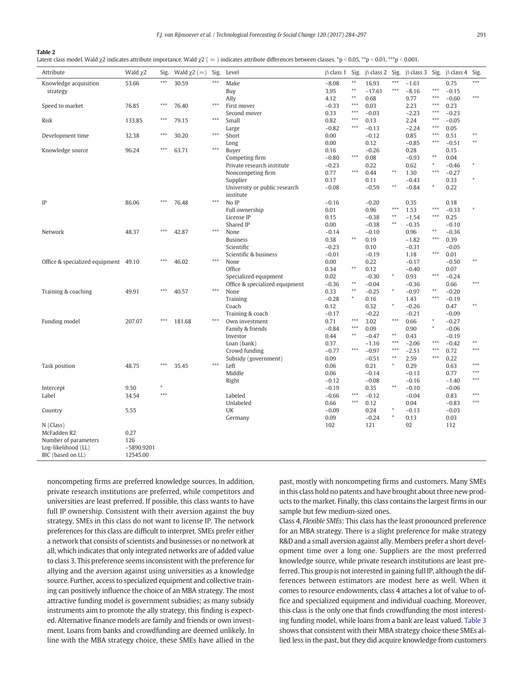#### <span id="page-7-0"></span>Table 2

Latent class model. Wald  $\gamma$ 2 indicates attribute importance, Wald  $\gamma$ 2 (= ) indicates attribute differences between classes. \*p < 0.05, \*\*p < 0.01, \*\*\*p < 0.001

| Attribute                            | Wald $\chi$ 2 | Sig.   | Wald $\chi$ 2 (=) | Sig.           | Level                          | $\beta$ class 1 Sig. |            | $\beta$ class 2 Sig. |            | $\beta$ class 3 Sig. |            | $\beta$ class 4 Sig. |                    |
|--------------------------------------|---------------|--------|-------------------|----------------|--------------------------------|----------------------|------------|----------------------|------------|----------------------|------------|----------------------|--------------------|
| Knowledge acquisition                | 53.66         | $***$  | 30.59             | $\ast\ast\ast$ | Make                           | $-8.08$              | $***$      | 16.93                | ***        | $-1.61$              |            | 0.75                 | $***$              |
| strategy                             |               |        |                   |                | Buy                            | 3.95                 | $\ast\ast$ | $-17.61$             | $***$      | $-8.16$              | $***$      | $-0.15$              |                    |
|                                      |               |        |                   |                | Ally                           | 4.12                 | $\ast\ast$ | 0.68                 |            | 9.77                 | $***$      | $-0.60$              | $***$              |
| Speed to market                      | 76.85         | $***$  | 76.40             | $***$          | First mover                    | $-0.33$              | $***$      | 0.03                 |            | 2.23                 | $***$      | 0.23                 |                    |
|                                      |               |        |                   |                | Second mover                   | 0.33                 | $***$      | $-0.03$              |            | $-2.23$              | $***$      | $-0.23$              |                    |
| Risk                                 | 133.85        | $***$  | 79.15             | $***$          | Small                          | 0.82                 | $***$      | 0.13                 |            | 2.24                 | $***$      | $-0.05$              |                    |
|                                      |               |        |                   |                | Large                          | $-0.82$              | $***$      | $-0.13$              |            | $-2.24$              | $***$      | 0.05                 |                    |
| Development time                     | 32.38         | $***$  | 30.20             | $***$          | Short                          | 0.00                 |            | $-0.12$              |            | 0.85                 | $***$      | 0.51                 | $\ast\ast$         |
|                                      |               |        |                   |                | Long                           | 0.00                 |            | 0.12                 |            | $-0.85$              | $***$      | $-0.51$              | $\ast\ast$         |
| Knowledge source                     | 96.24         | $***$  | 63.71             | $***$          | Buyer                          | 0.16                 |            | $-0.26$              |            | 0.28                 |            | 0.15                 |                    |
|                                      |               |        |                   |                | Competing firm                 | $-0.80$              | $***$      | 0.08                 |            | $-0.93$              | $\ast\ast$ | 0.04                 |                    |
|                                      |               |        |                   |                | Private research institute     | $-0.23$              |            | 0.22                 |            | 0.62                 | $\ast$     | $-0.46$              |                    |
|                                      |               |        |                   |                | Noncompeting firm              | 0.77                 | $***$      | 0.44                 | $**$       | 1.30                 | $***$      | $-0.27$              |                    |
|                                      |               |        |                   |                | Supplier                       | 0.17                 |            | 0.11                 |            | $-0.43$              |            | 0.33                 |                    |
|                                      |               |        |                   |                | University or public research  | $-0.08$              |            | $-0.59$              | $\ast$     | $-0.84$              | $\ast$     | 0.22                 |                    |
|                                      |               |        |                   |                | institute                      |                      |            |                      |            |                      |            |                      |                    |
| IP                                   | 86.06         | ***    | 76.48             | $***$          | No IP                          | $-0.16$              |            | $-0.20$              |            | 0.35                 |            | 0.18                 |                    |
|                                      |               |        |                   |                | Full ownership                 | 0.01                 |            | 0.96                 | $***$      | 1.53                 | $***$      | $-0.33$              |                    |
|                                      |               |        |                   |                | License IP                     | 0.15                 |            | $-0.38$              | $***$      | $-1.54$              | $***$      | 0.25                 |                    |
|                                      |               |        |                   |                | Shared IP                      | 0.00                 |            | $-0.38$              | $\ast\ast$ | $-0.35$              |            | $-0.10$              |                    |
| Network                              | 48.37         | ***    | 42.87             | $***$          | None                           | $-0.14$              |            | $-0.10$              |            | 0.96                 | $\ast\ast$ | $-0.36$              |                    |
|                                      |               |        |                   |                | <b>Business</b>                | 0.38                 | $**$       | 0.19                 |            | $-1.82$              | $***$      | 0.39                 |                    |
|                                      |               |        |                   |                | Scientific                     | $-0.23$              |            | 0.10                 |            | $-0.31$              |            | $-0.05$              |                    |
|                                      |               |        |                   |                | Scientific & business          | $-0.01$              |            | $-0.19$              |            | 1.18                 | $***$      | 0.01                 |                    |
| Office & specialized equipment 49.10 |               | ***    | 46.02             | $***$          | None                           | 0.00                 |            | 0.22                 |            | $-0.17$              |            | $-0.50$              | $\ast\ast$         |
|                                      |               |        |                   |                | Office                         | 0.34                 | $\ast\ast$ | 0.12                 |            | $-0.40$              |            | 0.07                 |                    |
|                                      |               |        |                   |                | Specialized equipment          | 0.02                 |            | $-0.30$              | $\ast$     | 0.93                 | $***$      | $-0.24$              |                    |
|                                      |               |        |                   |                | Office & specialized equipment | $-0.36$              | $***$      | $-0.04$              |            | $-0.36$              |            | 0.66                 | $***$              |
| Training & coaching                  | 49.91         | $***$  | 40.57             | $***$          | None                           | 0.33                 | $**$       | $-0.25$              | $\ast$     | $-0.97$              | $\ast\ast$ | $-0.20$              |                    |
|                                      |               |        |                   |                | <b>Training</b>                | $-0.28$              |            | 0.16                 |            | 1.43                 | $***$      | $-0.19$              |                    |
|                                      |               |        |                   |                | Coach                          | 0.12                 |            | 0.32                 | $\ast$     | $-0.26$              |            | 0.47                 | $\ast\ast$         |
|                                      |               |        |                   |                | Training & coach               | $-0.17$              |            | $-0.22$              |            | $-0.21$              |            | $-0.09$              |                    |
| Funding model                        | 207.07        | ***    | 181.68            | ***            | Own investment                 | 0.71                 | $***$      | 3.02                 | $***$      | 0.66                 | $\ast$     | $-0.27$              |                    |
|                                      |               |        |                   |                | Family & friends               | $-0.84$              | $***$      | 0.09                 |            | 0.90                 | $\ast$     | $-0.06$              |                    |
|                                      |               |        |                   |                | Investor                       | 0.44                 | $\ast\ast$ | $-0.47$              | $***$      | 0.43                 |            | $-0.19$              |                    |
|                                      |               |        |                   |                | Loan (bank)                    | 0.37                 |            | $-1.16$              | $***$      | $-2.06$              | $***$      | $-0.42$              | $\ast\ast$         |
|                                      |               |        |                   |                | Crowd funding                  | $-0.77$              | $***$      | $-0.97$              | ***        | $-2.51$              | $***$      | 0.72                 | $***$              |
|                                      |               |        |                   |                | Subsidy (government)           | 0.09                 |            | $-0.51$              | $\ast\ast$ | 2.59                 | $***$      | 0.22                 |                    |
| Task position                        | 48.75         | ***    | 35.45             | $***$          | Left                           | 0.06                 |            | 0.21                 | $\ast$     | 0.29                 |            | 0.63                 | $\ast\!\ast\!\ast$ |
|                                      |               |        |                   |                | Middle                         | 0.06                 |            | $-0.14$              |            | $-0.13$              |            | 0.77                 | $***$              |
|                                      |               |        |                   |                | Right                          | $-0.12$              |            | $-0.08$              |            | $-0.16$              |            | $-1.40$              | $***$              |
| Intercept                            | 9.50          | $\ast$ |                   |                |                                | $-0.19$              |            | 0.35                 | $* *$      | $-0.10$              |            | $-0.06$              |                    |
| Label                                | 34.54         | ***    |                   |                | Labeled                        | $-0.66$              | $***$      | $-0.12$              |            | $-0.04$              |            | 0.83                 | $\ast\ast\ast$     |
|                                      |               |        |                   |                | Unlabeled                      | 0.66                 | $***$      | 0.12                 |            | 0.04                 |            | $-0.83$              | $\ast\!\ast\!\ast$ |
| Country                              | 5.55          |        |                   |                | UK                             | $-0.09$              |            | 0.24                 |            | $-0.13$              |            | $-0.03$              |                    |
|                                      |               |        |                   |                | Germany                        | 0.09                 |            | $-0.24$              | $\ast$     | 0.13                 |            | 0.03                 |                    |
| $N$ (Class)                          |               |        |                   |                |                                | 102                  |            | 121                  |            | 92                   |            | 112                  |                    |
| McFadden R2                          | 0.27          |        |                   |                |                                |                      |            |                      |            |                      |            |                      |                    |
| Number of parameters                 | 126           |        |                   |                |                                |                      |            |                      |            |                      |            |                      |                    |
| Log-likelihood (LL)                  | $-5890.9201$  |        |                   |                |                                |                      |            |                      |            |                      |            |                      |                    |
| BIC (based on LL)                    | 12545.00      |        |                   |                |                                |                      |            |                      |            |                      |            |                      |                    |
|                                      |               |        |                   |                |                                |                      |            |                      |            |                      |            |                      |                    |

noncompeting firms are preferred knowledge sources. In addition, private research institutions are preferred, while competitors and universities are least preferred. If possible, this class wants to have full IP ownership. Consistent with their aversion against the buy strategy, SMEs in this class do not want to license IP. The network preferences for this class are difficult to interpret. SMEs prefer either a network that consists of scientists and businesses or no network at all, which indicates that only integrated networks are of added value to class 3. This preference seems inconsistent with the preference for allying and the aversion against using universities as a knowledge source. Further, access to specialized equipment and collective training can positively influence the choice of an MBA strategy. The most attractive funding model is government subsidies; as many subsidy instruments aim to promote the ally strategy, this finding is expected. Alternative finance models are family and friends or own investment. Loans from banks and crowdfunding are deemed unlikely. In line with the MBA strategy choice, these SMEs have allied in the past, mostly with noncompeting firms and customers. Many SMEs in this class hold no patents and have brought about three new products to the market. Finally, this class contains the largest firms in our sample but few medium-sized ones.

Class 4, Flexible SMEs: This class has the least pronounced preference for an MBA strategy. There is a slight preference for make strategy R&D and a small aversion against ally. Members prefer a short development time over a long one. Suppliers are the most preferred knowledge source, while private research institutions are least preferred. This group is not interested in gaining full IP, although the differences between estimators are modest here as well. When it comes to resource endowments, class 4 attaches a lot of value to office and specialized equipment and individual coaching. Moreover, this class is the only one that finds crowdfunding the most interesting funding model, while loans from a bank are least valued. [Table 3](#page-8-0) shows that consistent with their MBA strategy choice these SMEs allied less in the past, but they did acquire knowledge from customers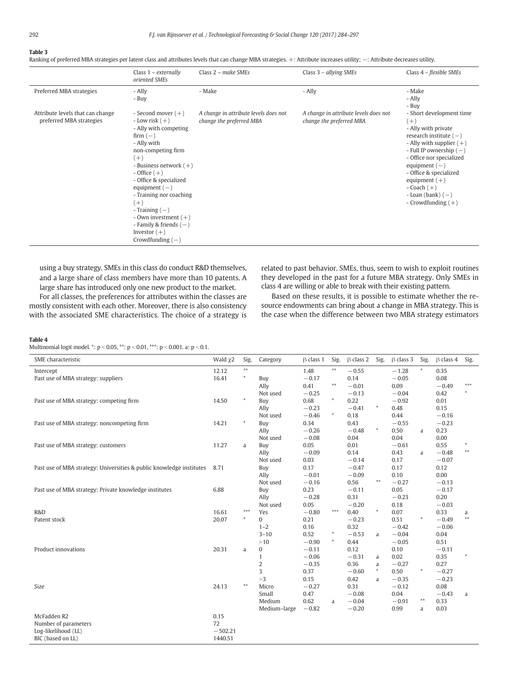#### <span id="page-8-0"></span>Table 3

Ranking of preferred MBA strategies per latent class and attributes levels that can change MBA strategies. +: Attribute increases utility; -: Attribute decreases utility.

|                                                              | Class $1 - externally$<br>oriented SMEs                                                                                                                                                                                                                                                                                                                                           | Class $2$ – make SMEs                                             | Class $3$ – allying SMEs                                          | Class 4 – flexible SMEs                                                                                                                                                                                                                                                                                       |
|--------------------------------------------------------------|-----------------------------------------------------------------------------------------------------------------------------------------------------------------------------------------------------------------------------------------------------------------------------------------------------------------------------------------------------------------------------------|-------------------------------------------------------------------|-------------------------------------------------------------------|---------------------------------------------------------------------------------------------------------------------------------------------------------------------------------------------------------------------------------------------------------------------------------------------------------------|
| Preferred MBA strategies                                     | - Ally<br>- Buy                                                                                                                                                                                                                                                                                                                                                                   | - Make                                                            | - Ally                                                            | - Make<br>- Ally<br>- Buy                                                                                                                                                                                                                                                                                     |
| Attribute levels that can change<br>preferred MBA strategies | $-$ Second mover $(+)$<br>$-Low risk (+)$<br>- Ally with competing<br>firm $(-)$<br>- Ally with<br>non-competing firm<br>$(+)$<br>- Business network $(+)$<br>$-$ Office $(+)$<br>- Office & specialized<br>equipment $(-)$<br>- Training nor coaching<br>$(+)$<br>- Training $(-)$<br>- Own investment $(+)$<br>- Family & friends $(-)$<br>Investor $(+)$<br>Crowdfunding $(-)$ | A change in attribute levels does not<br>change the preferred MBA | A change in attribute levels does not<br>change the preferred MBA | - Short development time<br>$(+)$<br>- Ally with private<br>research institute $(-)$<br>- Ally with supplier $(+)$<br>- Full IP ownership $(-)$<br>- Office nor specialized<br>equipment $(-)$<br>- Office & specialized<br>equipment $(+)$<br>$-$ Coach $(+)$<br>- Loan (bank) $(-)$<br>- Crowdfunding $(+)$ |

using a buy strategy. SMEs in this class do conduct R&D themselves, and a large share of class members have more than 10 patents. A large share has introduced only one new product to the market.

For all classes, the preferences for attributes within the classes are mostly consistent with each other. Moreover, there is also consistency with the associated SME characteristics. The choice of a strategy is

related to past behavior. SMEs, thus, seem to wish to exploit routines they developed in the past for a future MBA strategy. Only SMEs in class 4 are willing or able to break with their existing pattern.

Based on these results, it is possible to estimate whether the resource endowments can bring about a change in MBA strategy. This is the case when the difference between two MBA strategy estimators

#### Table 4

Multinomial logit model.  $*$ : p < 0.05,  $*$  $*$ : p < 0.01,  $*$  $*$ : p < 0.001. a: p < 0.1.

| SME characteristic                                                   | Wald $\chi$ 2 | Sig.         | Category                   | $\beta$ class 1 | Sig.             | $\beta$ class 2 | Sig.        | $\beta$ class 3 | Sig.         | $\beta$ class 4    | Sig.       |
|----------------------------------------------------------------------|---------------|--------------|----------------------------|-----------------|------------------|-----------------|-------------|-----------------|--------------|--------------------|------------|
| Intercept                                                            | 12.12         | $\ast\ast$   |                            | 1.48            | $\ast\ast$       | $-0.55$         |             | $-1.28$         | $\ast$       | 0.35               |            |
| Past use of MBA strategy: suppliers                                  | 16.41         | $\ast$       | Buy                        | $-0.17$         |                  | 0.14            |             | $-0.05$         |              | 0.08               |            |
|                                                                      |               |              | Ally                       | 0.41            | $\ast\ast$       | $-0.01$         |             | 0.09            |              | $-0.49$            | ***        |
|                                                                      |               |              | Not used                   | $-0.25$         |                  | $-0.13$         |             | $-0.04$         |              | 0.42               |            |
| Past use of MBA strategy: competing firm                             | 14.50         | $\ast$       | Buy                        | 0.68            | $\ast$           | 0.22            |             | $-0.92$         |              | 0.01               |            |
|                                                                      |               |              | Ally                       | $-0.23$         |                  | $-0.41$         | $\ast$      | 0.48            |              | 0.15               |            |
|                                                                      |               |              | Not used                   | $-0.46$         | $\ast$           | 0.18            |             | 0.44            |              | $-0.16$            |            |
| Past use of MBA strategy: noncompeting firm                          | 14.21         |              | Buy                        | 0.34            |                  | 0.43            |             | $-0.55$         |              | $-0.23$            |            |
|                                                                      |               |              | Ally                       | $-0.26$         |                  | $-0.48$         | $\ast$      | 0.50            | a            | 0.23               |            |
|                                                                      |               |              | Not used                   | $-0.08$         |                  | 0.04            |             | 0.04            |              | 0.00               |            |
| Past use of MBA strategy: customers                                  | 11.27         | a            | Buy                        | 0.05            |                  | 0.01            |             | $-0.61$         |              | 0.55               |            |
|                                                                      |               |              | Ally                       | $-0.09$         |                  | 0.14            |             | 0.43            | a            | $-0.48$            | $**$       |
|                                                                      |               |              | Not used                   | 0.03            |                  | $-0.14$         |             | 0.17            |              | $-0.07$            |            |
| Past use of MBA strategy: Universities & public knowledge institutes | 8.71          |              | Buy                        | 0.17            |                  | $-0.47$         |             | 0.17            |              | 0.12               |            |
|                                                                      |               |              | Ally                       | $-0.01$         |                  | $-0.09$         |             | 0.10            |              | 0.00               |            |
|                                                                      |               |              | Not used                   | $-0.16$         |                  | 0.56            | $***$       | $-0.27$         |              | $-0.13$            |            |
| Past use of MBA strategy: Private knowledge institutes               | 6.88          |              | Buy                        | 0.23            |                  | $-0.11$         |             | 0.05            |              | $-0.17$            |            |
|                                                                      |               |              | Ally                       | $-0.28$         |                  | 0.31            |             | $-0.23$         |              | 0.20               |            |
|                                                                      |               | $***$        | Not used                   | 0.05            | $***$            | $-0.20$         | $\ast$      | 0.18            |              | $-0.03$            |            |
| R&D                                                                  | 16.61         |              | Yes                        | $-0.80$         |                  | 0.40            |             | 0.07            |              | 0.33               | a<br>$***$ |
| Patent stock                                                         | 20.07         |              | $\mathbf{0}$               | 0.21            |                  | $-0.23$         |             | 0.51            | $\ast$       | $-0.49$            |            |
|                                                                      |               |              | $1 - 2$                    | 0.16            |                  | 0.32            |             | $-0.42$         |              | $-0.06$            |            |
|                                                                      |               |              | $3 - 10$                   | 0.52            | $\ast$<br>$\ast$ | $-0.53$         | a           | $-0.04$         |              | 0.04               |            |
|                                                                      |               |              | $>10$                      | $-0.90$         |                  | 0.44            |             | $-0.05$         |              | 0.51               |            |
| Product innovations                                                  | 20.31         | $\mathsf{a}$ | $\bf{0}$                   | $-0.11$         |                  | 0.12            |             | 0.10            |              | $-0.11$            |            |
|                                                                      |               |              | $\mathbf{1}$<br>$\sqrt{2}$ | $-0.06$         |                  | $-0.31$<br>0.36 | a           | 0.02<br>$-0.27$ |              | 0.35<br>0.27       |            |
|                                                                      |               |              | 3                          | $-0.35$<br>0.37 |                  | $-0.60$         | a<br>$\ast$ | 0.50            | $\ast$       |                    |            |
|                                                                      |               |              | >3                         | 0.15            |                  | 0.42            |             | $-0.35$         |              | $-0.27$<br>$-0.23$ |            |
| Size                                                                 | 24.13         | $\ast\ast$   | Micro                      | $-0.27$         |                  | 0.31            | a           | $-0.12$         |              | 0.08               |            |
|                                                                      |               |              | Small                      | 0.47            |                  | $-0.08$         |             | 0.04            |              | $-0.43$            |            |
|                                                                      |               |              | Medium                     | 0.62            |                  | $-0.04$         |             | $-0.91$         | $\ast\ast$   | 0.33               | a          |
|                                                                      |               |              | Medium-large               | $-0.82$         | a                | $-0.20$         |             | 0.99            | $\mathsf{a}$ | 0.03               |            |
| McFadden R2                                                          | 0.15          |              |                            |                 |                  |                 |             |                 |              |                    |            |
| Number of parameters                                                 | 72            |              |                            |                 |                  |                 |             |                 |              |                    |            |
| Log-likelihood (LL)                                                  | $-502.21$     |              |                            |                 |                  |                 |             |                 |              |                    |            |
| BIC (based on LL)                                                    | 1440.51       |              |                            |                 |                  |                 |             |                 |              |                    |            |
|                                                                      |               |              |                            |                 |                  |                 |             |                 |              |                    |            |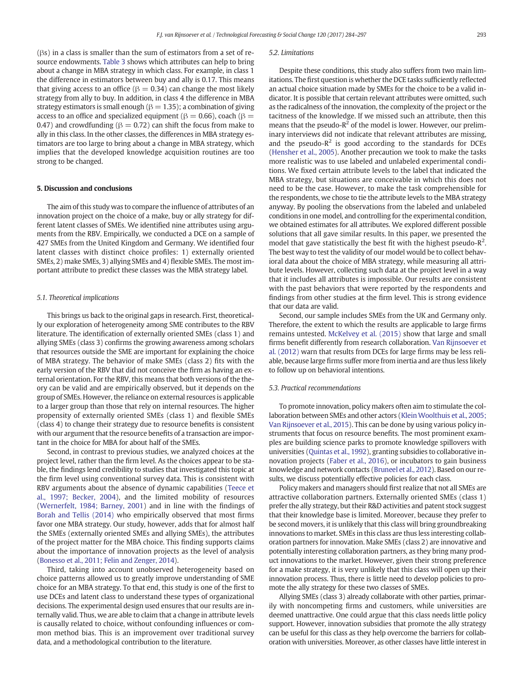(βs) in a class is smaller than the sum of estimators from a set of resource endowments. [Table 3](#page-8-0) shows which attributes can help to bring about a change in MBA strategy in which class. For example, in class 1 the difference in estimators between buy and ally is 0.17. This means that giving access to an office ( $\beta = 0.34$ ) can change the most likely strategy from ally to buy. In addition, in class 4 the difference in MBA strategy estimators is small enough ( $\beta$  = 1.35); a combination of giving access to an office and specialized equipment ( $\beta = 0.66$ ), coach ( $\beta = 0$ ) 0.47) and crowdfunding ( $\beta$  = 0.72) can shift the focus from make to ally in this class. In the other classes, the differences in MBA strategy estimators are too large to bring about a change in MBA strategy, which implies that the developed knowledge acquisition routines are too strong to be changed.

#### 5. Discussion and conclusions

The aim of this study was to compare the influence of attributes of an innovation project on the choice of a make, buy or ally strategy for different latent classes of SMEs. We identified nine attributes using arguments from the RBV. Empirically, we conducted a DCE on a sample of 427 SMEs from the United Kingdom and Germany. We identified four latent classes with distinct choice profiles: 1) externally oriented SMEs, 2) make SMEs, 3) allying SMEs and 4) flexible SMEs. The most important attribute to predict these classes was the MBA strategy label.

#### 5.1. Theoretical implications

This brings us back to the original gaps in research. First, theoretically our exploration of heterogeneity among SME contributes to the RBV literature. The identification of externally oriented SMEs (class 1) and allying SMEs (class 3) confirms the growing awareness among scholars that resources outside the SME are important for explaining the choice of MBA strategy. The behavior of make SMEs (class 2) fits with the early version of the RBV that did not conceive the firm as having an external orientation. For the RBV, this means that both versions of the theory can be valid and are empirically observed, but it depends on the group of SMEs. However, the reliance on external resources is applicable to a larger group than those that rely on internal resources. The higher propensity of externally oriented SMEs (class 1) and flexible SMEs (class 4) to change their strategy due to resource benefits is consistent with our argument that the resource benefits of a transaction are important in the choice for MBA for about half of the SMEs.

Second, in contrast to previous studies, we analyzed choices at the project level, rather than the firm level. As the choices appear to be stable, the findings lend credibility to studies that investigated this topic at the firm level using conventional survey data. This is consistent with RBV arguments about the absence of dynamic capabilities [\(Teece et](#page-13-0) [al., 1997; Becker, 2004\)](#page-13-0), and the limited mobility of resources [\(Wernerfelt, 1984; Barney, 2001\)](#page-13-0) and in line with the findings of [Borah and Tellis \(2014\)](#page-12-0) who empirically observed that most firms favor one MBA strategy. Our study, however, adds that for almost half the SMEs (externally oriented SMEs and allying SMEs), the attributes of the project matter for the MBA choice. This finding supports claims about the importance of innovation projects as the level of analysis [\(Bonesso et al., 2011; Felin and Zenger, 2014](#page-12-0)).

Third, taking into account unobserved heterogeneity based on choice patterns allowed us to greatly improve understanding of SME choice for an MBA strategy. To that end, this study is one of the first to use DCEs and latent class to understand these types of organizational decisions. The experimental design used ensures that our results are internally valid. Thus, we are able to claim that a change in attribute levels is causally related to choice, without confounding influences or common method bias. This is an improvement over traditional survey data, and a methodological contribution to the literature.

#### 5.2. Limitations

Despite these conditions, this study also suffers from two main limitations. The first question is whether the DCE tasks sufficiently reflected an actual choice situation made by SMEs for the choice to be a valid indicator. It is possible that certain relevant attributes were omitted, such as the radicalness of the innovation, the complexity of the project or the tacitness of the knowledge. If we missed such an attribute, then this means that the pseudo- $R^2$  of the model is lower. However, our preliminary interviews did not indicate that relevant attributes are missing, and the pseudo- $R^2$  is good according to the standards for DCEs [\(Hensher et al., 2005](#page-12-0)). Another precaution we took to make the tasks more realistic was to use labeled and unlabeled experimental conditions. We fixed certain attribute levels to the label that indicated the MBA strategy, but situations are conceivable in which this does not need to be the case. However, to make the task comprehensible for the respondents, we chose to tie the attribute levels to the MBA strategy anyway. By pooling the observations from the labeled and unlabeled conditions in one model, and controlling for the experimental condition, we obtained estimates for all attributes. We explored different possible solutions that all gave similar results. In this paper, we presented the model that gave statistically the best fit with the highest pseudo- $R^2$ . The best way to test the validity of our model would be to collect behavioral data about the choice of MBA strategy, while measuring all attribute levels. However, collecting such data at the project level in a way that it includes all attributes is impossible. Our results are consistent with the past behaviors that were reported by the respondents and findings from other studies at the firm level. This is strong evidence that our data are valid.

Second, our sample includes SMEs from the UK and Germany only. Therefore, the extent to which the results are applicable to large firms remains untested. [McKelvey et al. \(2015\)](#page-13-0) show that large and small firms benefit differently from research collaboration. [Van Rijnsoever et](#page-13-0) [al. \(2012\)](#page-13-0) warn that results from DCEs for large firms may be less reliable, because large firms suffer more from inertia and are thus less likely to follow up on behavioral intentions.

#### 5.3. Practical recommendations

To promote innovation, policy makers often aim to stimulate the collaboration between SMEs and other actors [\(Klein Woolthuis et al., 2005;](#page-12-0) [Van Rijnsoever et al., 2015\)](#page-12-0). This can be done by using various policy instruments that focus on resource benefits. The most prominent examples are building science parks to promote knowledge spillovers with universities ([Quintas et al., 1992](#page-13-0)), granting subsidies to collaborative innovation projects ([Faber et al., 2016\)](#page-12-0), or incubators to gain business knowledge and network contacts ([Bruneel et al., 2012](#page-12-0)). Based on our results, we discuss potentially effective policies for each class.

Policy makers and managers should first realize that not all SMEs are attractive collaboration partners. Externally oriented SMEs (class 1) prefer the ally strategy, but their R&D activities and patent stock suggest that their knowledge base is limited. Moreover, because they prefer to be second movers, it is unlikely that this class will bring groundbreaking innovations to market. SMEs in this class are thus less interesting collaboration partners for innovation. Make SMEs (class 2) are innovative and potentially interesting collaboration partners, as they bring many product innovations to the market. However, given their strong preference for a make strategy, it is very unlikely that this class will open up their innovation process. Thus, there is little need to develop policies to promote the ally strategy for these two classes of SMEs.

Allying SMEs (class 3) already collaborate with other parties, primarily with noncompeting firms and customers, while universities are deemed unattractive. One could argue that this class needs little policy support. However, innovation subsidies that promote the ally strategy can be useful for this class as they help overcome the barriers for collaboration with universities. Moreover, as other classes have little interest in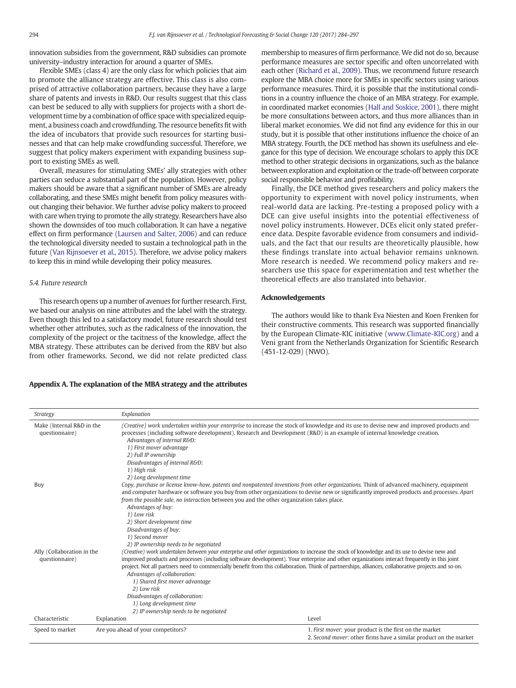<span id="page-10-0"></span>innovation subsidies from the government, R&D subsidies can promote university–industry interaction for around a quarter of SMEs.

Flexible SMEs (class 4) are the only class for which policies that aim to promote the alliance strategy are effective. This class is also comprised of attractive collaboration partners, because they have a large share of patents and invests in R&D. Our results suggest that this class can best be seduced to ally with suppliers for projects with a short development time by a combination of office space with specialized equipment, a business coach and crowdfunding. The resource benefits fit with the idea of incubators that provide such resources for starting businesses and that can help make crowdfunding successful. Therefore, we suggest that policy makers experiment with expanding business support to existing SMEs as well.

Overall, measures for stimulating SMEs' ally strategies with other parties can seduce a substantial part of the population. However, policy makers should be aware that a significant number of SMEs are already collaborating, and these SMEs might benefit from policy measures without changing their behavior. We further advise policy makers to proceed with care when trying to promote the ally strategy. Researchers have also shown the downsides of too much collaboration. It can have a negative effect on firm performance [\(Laursen and Salter, 2006](#page-13-0)) and can reduce the technological diversity needed to sustain a technological path in the future ([Van Rijnsoever et al., 2015\)](#page-13-0). Therefore, we advise policy makers to keep this in mind while developing their policy measures.

#### 5.4. Future research

This research opens up a number of avenues for further research. First, we based our analysis on nine attributes and the label with the strategy. Even though this led to a satisfactory model, future research should test whether other attributes, such as the radicalness of the innovation, the complexity of the project or the tacitness of the knowledge, affect the MBA strategy. These attributes can be derived from the RBV but also from other frameworks. Second, we did not relate predicted class

#### Appendix A. The explanation of the MBA strategy and the attributes

membership to measures of firm performance. We did not do so, because performance measures are sector specific and often uncorrelated with each other [\(Richard et al., 2009\)](#page-13-0). Thus, we recommend future research explore the MBA choice more for SMEs in specific sectors using various performance measures. Third, it is possible that the institutional conditions in a country influence the choice of an MBA strategy. For example, in coordinated market economies [\(Hall and Soskice, 2001\)](#page-12-0), there might be more consultations between actors, and thus more alliances than in liberal market economies. We did not find any evidence for this in our study, but it is possible that other institutions influence the choice of an MBA strategy. Fourth, the DCE method has shown its usefulness and elegance for this type of decision. We encourage scholars to apply this DCE method to other strategic decisions in organizations, such as the balance between exploration and exploitation or the trade-off between corporate social responsible behavior and profitability.

Finally, the DCE method gives researchers and policy makers the opportunity to experiment with novel policy instruments, when real-world data are lacking. Pre-testing a proposed policy with a DCE can give useful insights into the potential effectiveness of novel policy instruments. However, DCEs elicit only stated preference data. Despite favorable evidence from consumers and individuals, and the fact that our results are theoretically plausible, how these findings translate into actual behavior remains unknown. More research is needed. We recommend policy makers and researchers use this space for experimentation and test whether the theoretical effects are also translated into behavior.

#### Acknowledgements

The authors would like to thank Eva Niesten and Koen Frenken for their constructive comments. This research was supported financially by the European Climate-KIC initiative ([www.Climate-KIC.org](http://www.Climate-KIC.org)) and a Veni grant from the Netherlands Organization for Scientific Research (451-12-029) (NWO).

| Strategy                                     | Explanation                                                                                                                                                                                                                                                                                                                                                                                                                                                                                                                                                                                                                                  |                                                                                                                              |
|----------------------------------------------|----------------------------------------------------------------------------------------------------------------------------------------------------------------------------------------------------------------------------------------------------------------------------------------------------------------------------------------------------------------------------------------------------------------------------------------------------------------------------------------------------------------------------------------------------------------------------------------------------------------------------------------------|------------------------------------------------------------------------------------------------------------------------------|
| Make (Internal R&D in the<br>questionnaire)  | (Creative) work undertaken within your enterprise to increase the stock of knowledge and its use to devise new and improved products and<br>processes (including software development). Research and Development (R&D) is an example of internal knowledge creation.<br>Advantages of internal R&D:<br>1) First mover advantage<br>2) Full IP ownership<br>Disadvantages of internal R&D:<br>1) High risk<br>2) Long development time                                                                                                                                                                                                        |                                                                                                                              |
| Buy                                          | Copy, purchase or license know-how, patents and nonpatented inventions from other organizations. Think of advanced machinery, equipment<br>and computer hardware or software you buy from other organizations to devise new or significantly improved products and processes. Apart<br>from the possible sale, no interaction between you and the other organization takes place.<br>Advantages of buy:<br>1) Low risk<br>2) Short development time<br>Disadvantages of buy:<br>1) Second mover<br>2) IP ownership needs to be negotiated                                                                                                    |                                                                                                                              |
| Ally (Collaboration in the<br>questionnaire) | (Creative) work undertaken between your enterprise and other organizations to increase the stock of knowledge and its use to devise new and<br>improved products and processes (including software development). Your enterprise and other organizations interact frequently in this joint<br>project. Not all partners need to commercially benefit from this collaboration. Think of partnerships, alliances, collaborative projects and so on.<br>Advantages of collaboration:<br>1) Shared first mover advantage<br>2) Low risk<br>Disadvantages of collaboration:<br>1) Long development time<br>2) IP ownership needs to be negotiated |                                                                                                                              |
| Characteristic                               | Explanation                                                                                                                                                                                                                                                                                                                                                                                                                                                                                                                                                                                                                                  | Level                                                                                                                        |
| Speed to market                              | Are you ahead of your competitors?                                                                                                                                                                                                                                                                                                                                                                                                                                                                                                                                                                                                           | 1. First mover: your product is the first on the market<br>2. Second mover: other firms have a similar product on the market |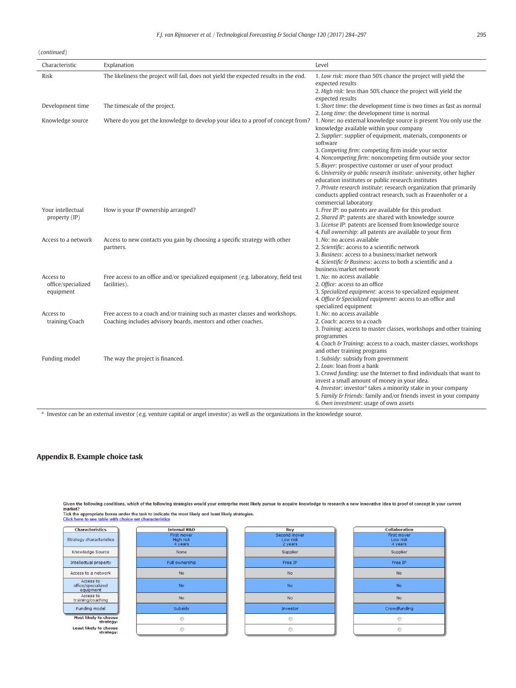<span id="page-11-0"></span>(continued)

| Characteristic                               | Explanation                                                                                                                                   | Level                                                                                                                                                                                                                                                                                                                                                                                                                                                                                                                                                                                                                                          |
|----------------------------------------------|-----------------------------------------------------------------------------------------------------------------------------------------------|------------------------------------------------------------------------------------------------------------------------------------------------------------------------------------------------------------------------------------------------------------------------------------------------------------------------------------------------------------------------------------------------------------------------------------------------------------------------------------------------------------------------------------------------------------------------------------------------------------------------------------------------|
| Risk                                         | The likeliness the project will fail, does not yield the expected results in the end.                                                         | 1. Low risk: more than 50% chance the project will yield the<br>expected results<br>2. High risk: less than 50% chance the project will yield the<br>expected results                                                                                                                                                                                                                                                                                                                                                                                                                                                                          |
| Development time                             | The timescale of the project.                                                                                                                 | 1. Short time: the development time is two times as fast as normal<br>2. Long time: the development time is normal                                                                                                                                                                                                                                                                                                                                                                                                                                                                                                                             |
| Knowledge source                             | Where do you get the knowledge to develop your idea to a proof of concept from?                                                               | 1. None: no external knowledge source is present You only use the<br>knowledge available within your company<br>2. Supplier: supplier of equipment, materials, components or<br>software<br>3. Competing firm: competing firm inside your sector<br>4. Noncompeting firm: noncompeting firm outside your sector<br>5. Buyer: prospective customer or user of your product<br>6. University or public research institute: university, other higher<br>education institutes or public research institutes<br>7. Private research institute: research organization that primarily<br>conducts applied contract research, such as Frauenhofer or a |
| Your intellectual<br>property (IP)           | How is your IP ownership arranged?                                                                                                            | commercial laboratory<br>1. Free IP: no patents are available for this product<br>2. Shared IP: patents are shared with knowledge source<br>3. License IP: patents are licensed from knowledge source<br>4. Full ownership: all patents are available to your firm                                                                                                                                                                                                                                                                                                                                                                             |
| Access to a network                          | Access to new contacts you gain by choosing a specific strategy with other<br>partners.                                                       | 1. No: no access available<br>2. Scientific: access to a scientific network<br>3. Business: access to a business/market network<br>4. Scientific & Business: access to both a scientific and a<br>business/market network                                                                                                                                                                                                                                                                                                                                                                                                                      |
| Access to<br>office/specialized<br>equipment | Free access to an office and/or specialized equipment (e.g. laboratory, field test<br>facilities).                                            | 1. No: no access available<br>2. Office: access to an office<br>3. Specialized equipment: access to specialized equipment<br>4. Office & Specialized equipment: access to an office and<br>specialized equipment                                                                                                                                                                                                                                                                                                                                                                                                                               |
| Access to<br>training/Coach                  | Free access to a coach and/or training such as master classes and workshops.<br>Coaching includes advisory boards, mentors and other coaches. | 1. No: no access available<br>2. Coach: access to a coach<br>3. Training: access to master classes, workshops and other training<br>programmes<br>4. Coach & Training: access to a coach, master classes, workshops                                                                                                                                                                                                                                                                                                                                                                                                                            |
| Funding model                                | The way the project is financed.                                                                                                              | and other training programs<br>1. Subsidy: subsidy from government<br>2. Loan: loan from a bank<br>3. Crowd funding: use the Internet to find individuals that want to<br>invest a small amount of money in your idea.<br>4. Investor: investor <sup>a</sup> takes a minority stake in your company<br>5. Family & Friends: family and/or friends invest in your company<br>6. Own investment: usage of own assets                                                                                                                                                                                                                             |

<sup>a</sup> Investor can be an external investor (e.g. venture capital or angel investor) as well as the organizations in the knowledge source.

## Appendix B. Example choice task

Given the following conditions, which of the following strategies would your enterprise most likely pursue to acquire knowledge to research a new innovative idea to proof of concept in your current<br>market?<br>Tick the appropr

| <b>Characteristics</b>                       |  |
|----------------------------------------------|--|
| Strategy characteristics                     |  |
| Knowledge Source                             |  |
| Intellectual property                        |  |
| Access to a network                          |  |
| Access to<br>office/specialized<br>equipment |  |
| Access to<br>training/coaching               |  |
| Funding model                                |  |
| <b>Most likely to choose</b><br>strategy:    |  |
| <b>Least likely to choose</b><br>strategy:   |  |

| <b>Internal R&amp;D</b> |  |
|-------------------------|--|
| First mover             |  |
| High risk<br>4 years    |  |
|                         |  |
| None                    |  |
| Full ownership          |  |
|                         |  |
| No                      |  |
|                         |  |
| <b>No</b>               |  |
| <b>No</b>               |  |
|                         |  |
| Subsidy                 |  |
| O                       |  |
|                         |  |
| ⊚                       |  |
|                         |  |

| Buy                                 |  |
|-------------------------------------|--|
| Second mover<br>Low risk<br>2 years |  |
| Supplier                            |  |
| Free IP                             |  |
| No                                  |  |
| <b>No</b>                           |  |
| <b>No</b>                           |  |
| Investor                            |  |
| C                                   |  |
|                                     |  |

| <b>Collaboration</b> |  |
|----------------------|--|
| First mover          |  |
| Low risk<br>4 years  |  |
|                      |  |
| Supplier             |  |
|                      |  |
| Free IP              |  |
|                      |  |
| No                   |  |
|                      |  |
| <b>No</b>            |  |
|                      |  |
| No                   |  |
| Crowdfunding         |  |
|                      |  |
| o                    |  |
|                      |  |
|                      |  |
|                      |  |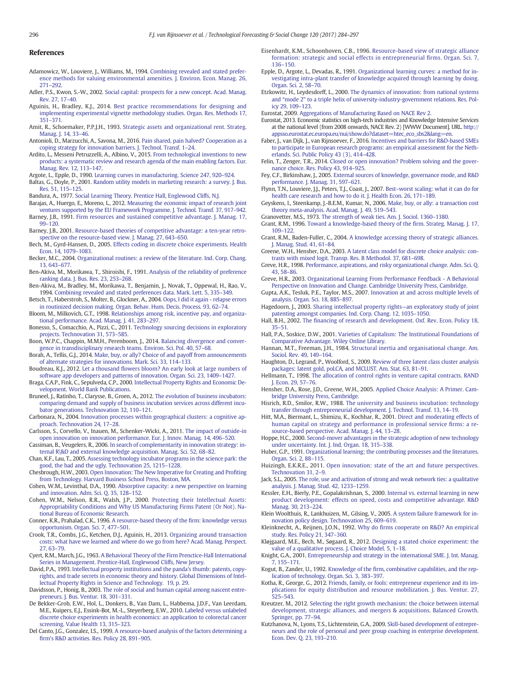#### <span id="page-12-0"></span>References

- Adamowicz, W., Louviere, J., Williams, M., 1994. [Combining revealed and stated prefer](http://refhub.elsevier.com/S0040-1625(17)30337-2/rf0005)[ence methods for valuing environmental amenities. J. Environ. Econ. Manag. 26,](http://refhub.elsevier.com/S0040-1625(17)30337-2/rf0005) 271–[292.](http://refhub.elsevier.com/S0040-1625(17)30337-2/rf0005)
- Adler, P.S., Kwon, S.-W., 2002. [Social capital: prospects for a new concept. Acad. Manag.](http://refhub.elsevier.com/S0040-1625(17)30337-2/rf0010) [Rev. 27, 17](http://refhub.elsevier.com/S0040-1625(17)30337-2/rf0010)–40.
- Aguinis, H., Bradley, K.J., 2014. [Best practice recommendations for designing and](http://refhub.elsevier.com/S0040-1625(17)30337-2/rf0015) [implementing experimental vignette methodology studies. Organ. Res. Methods 17,](http://refhub.elsevier.com/S0040-1625(17)30337-2/rf0015) 351–[371.](http://refhub.elsevier.com/S0040-1625(17)30337-2/rf0015)
- Amit, R., Schoemaker, P.P.J.H., 1993. [Strategic assets and organizational rent. Strateg.](http://refhub.elsevier.com/S0040-1625(17)30337-2/rf0020) [Manag. J. 14, 33](http://refhub.elsevier.com/S0040-1625(17)30337-2/rf0020)–46.
- Antonioli, D., Marzucchi, A., Savona, M., 2016. [Pain shared, pain halved? Cooperation as a](http://refhub.elsevier.com/S0040-1625(17)30337-2/rf0025) [coping strategy for innovation barriers. J. Technol. Transf. 1](http://refhub.elsevier.com/S0040-1625(17)30337-2/rf0025)–24.
- Ardito, L., Messeni Petruzzelli, A., Albino, V., 2015. [From technological inventions to new](http://refhub.elsevier.com/S0040-1625(17)30337-2/rf0030) [products: a systematic review and research agenda of the main enabling factors. Eur.](http://refhub.elsevier.com/S0040-1625(17)30337-2/rf0030) [Manag. Rev. 12, 113](http://refhub.elsevier.com/S0040-1625(17)30337-2/rf0030)–147.
- Argote, L., Epple, D., 1990. [Learning curves in manufacturing. Science 247, 920](http://refhub.elsevier.com/S0040-1625(17)30337-2/rf0035)–924.
- Baltas, G., Doyle, P., 2001. [Random utility models in marketing research: a survey. J. Bus.](http://refhub.elsevier.com/S0040-1625(17)30337-2/rf0040) [Res. 51, 115](http://refhub.elsevier.com/S0040-1625(17)30337-2/rf0040)–125.
- Bandura, A., 1977. [Social Learning Theory. Prentice Hall, Englewood Cliffs, N.J.](http://refhub.elsevier.com/S0040-1625(17)30337-2/rf0045)
- Barajas, A., Huergo, E., Moreno, L., 2012. [Measuring the economic impact of research joint](http://refhub.elsevier.com/S0040-1625(17)30337-2/rf0050) [ventures supported by the EU Framework Programme. J. Technol. Transf. 37, 917](http://refhub.elsevier.com/S0040-1625(17)30337-2/rf0050)–942.
- Barney, J.B., 1991. [Firm resources and sustained competitive advantage. J. Manag. 17,](http://refhub.elsevier.com/S0040-1625(17)30337-2/rf0055) 99–[120](http://refhub.elsevier.com/S0040-1625(17)30337-2/rf0055).
- Barney, J.B., 2001. [Resource-based theories of competitive advantage: a ten-year retro](http://refhub.elsevier.com/S0040-1625(17)30337-2/rf0060)[spective on the resource-based view. J. Manag. 27, 643](http://refhub.elsevier.com/S0040-1625(17)30337-2/rf0060)–650.
- Bech, M., Gyrd-Hansen, D., 2005. [Effects coding in discrete choice experiments. Health](http://refhub.elsevier.com/S0040-1625(17)30337-2/rf0065) [Econ. 14, 1079](http://refhub.elsevier.com/S0040-1625(17)30337-2/rf0065)–1083.
- Becker, M.C., 2004. [Organizational routines: a review of the literature. Ind. Corp. Chang.](http://refhub.elsevier.com/S0040-1625(17)30337-2/rf0070) [13, 643](http://refhub.elsevier.com/S0040-1625(17)30337-2/rf0070)–677.
- Ben-Akiva, M., Morikawa, T., Shiroishi, F., 1991. [Analysis of the reliability of preference](http://refhub.elsevier.com/S0040-1625(17)30337-2/rf0075) [ranking data. J. Bus. Res. 23, 253](http://refhub.elsevier.com/S0040-1625(17)30337-2/rf0075)–268.
- Ben-Akiva, M., Bradley, M., Morikawa, T., Benjamin, J., Novak, T., Oppewal, H., Rao, V., 1994. [Combining revealed and stated preferences data. Mark. Lett. 5, 335](http://refhub.elsevier.com/S0040-1625(17)30337-2/rf0080)–349.
- Betsch, T., Haberstroh, S., Molter, B., Glockner, A., 2004. [Oops, I did it again relapse errors](http://refhub.elsevier.com/S0040-1625(17)30337-2/rf0085) [in routinized decision making. Organ. Behav. Hum. Decis. Process. 93, 62](http://refhub.elsevier.com/S0040-1625(17)30337-2/rf0085)–74.
- Bloom, M., Milkovich, G.T., 1998. [Relationships among risk, incentive pay, and organiza](http://refhub.elsevier.com/S0040-1625(17)30337-2/rf0090)[tional performance. Acad. Manag. J. 41, 283](http://refhub.elsevier.com/S0040-1625(17)30337-2/rf0090)–297.
- Bonesso, S., Comacchio, A., Pizzi, C., 2011. [Technology sourcing decisions in exploratory](http://refhub.elsevier.com/S0040-1625(17)30337-2/rf0095) [projects. Technovation 31, 573](http://refhub.elsevier.com/S0040-1625(17)30337-2/rf0095)–585.
- Boon, W.P.C., Chappin, M.M.H., Perenboom, J., 2014. [Balancing divergence and conver](http://refhub.elsevier.com/S0040-1625(17)30337-2/rf0100)[gence in transdisciplinary research teams. Environ. Sci. Pol. 40, 57](http://refhub.elsevier.com/S0040-1625(17)30337-2/rf0100)–68.
- Borah, A., Tellis, G.J., 2014. [Make, buy, or ally? Choice of and payoff from announcements](http://refhub.elsevier.com/S0040-1625(17)30337-2/rf0105) of [alternate strategies for innovations. Mark. Sci. 33, 114](http://refhub.elsevier.com/S0040-1625(17)30337-2/rf0105)–133.
- Boudreau, K.J., 2012. Let a thousand fl[owers bloom? An early look at large numbers of](http://refhub.elsevier.com/S0040-1625(17)30337-2/rf0110) [software app developers and patterns of innovation. Organ. Sci. 23, 1409](http://refhub.elsevier.com/S0040-1625(17)30337-2/rf0110)–1427.
- Braga, C.A.P., Fink, C., Sepulveda, C.P., 2000. [Intellectual Property Rights and Economic De](http://refhub.elsevier.com/S0040-1625(17)30337-2/rf0115)[velopment. World Bank Publications](http://refhub.elsevier.com/S0040-1625(17)30337-2/rf0115).
- Bruneel, J., Ratinho, T., Clarysse, B., Groen, A., 2012. [The evolution of business incubators:](http://refhub.elsevier.com/S0040-1625(17)30337-2/rf0120) [comparing demand and supply of business incubation services across different incu](http://refhub.elsevier.com/S0040-1625(17)30337-2/rf0120)[bator generations. Technovation 32, 110](http://refhub.elsevier.com/S0040-1625(17)30337-2/rf0120)–121.
- Carbonara, N., 2004. [Innovation processes within geographical clusters: a cognitive ap](http://refhub.elsevier.com/S0040-1625(17)30337-2/rf0125)[proach. Technovation 24, 17](http://refhub.elsevier.com/S0040-1625(17)30337-2/rf0125)–28.
- Carlsson, S., Corvello, V., Inauen, M., Schenker-Wicki, A., 2011. [The impact of outside-in](http://refhub.elsevier.com/S0040-1625(17)30337-2/rf0130) [open innovation on innovation performance. Eur. J. Innov. Manag. 14, 496](http://refhub.elsevier.com/S0040-1625(17)30337-2/rf0130)–520.
- Cassiman, B., Veugelers, R., 2006. [In search of complementarity in innovation strategy: in](http://refhub.elsevier.com/S0040-1625(17)30337-2/rf0135)[ternal R\&D and external knowledge acquisition. Manag. Sci. 52, 68](http://refhub.elsevier.com/S0040-1625(17)30337-2/rf0135)–82.
- Chan, K.F., Lau, T., 2005. [Assessing technology incubator programs in the science park: the](http://refhub.elsevier.com/S0040-1625(17)30337-2/rf0140) [good, the bad and the ugly. Technovation 25, 1215](http://refhub.elsevier.com/S0040-1625(17)30337-2/rf0140)–1228.
- Chesbrough, H.W., 2003. [Open Innovation: The New Imperative for Creating and Pro](http://refhub.elsevier.com/S0040-1625(17)30337-2/rf0145)fiting [from Technology. Harvard Business School Press, Boston, MA.](http://refhub.elsevier.com/S0040-1625(17)30337-2/rf0145)
- Cohen, W.M., Levinthal, D.A., 1990. [Absorptive capacity: a new perspective on learning](http://refhub.elsevier.com/S0040-1625(17)30337-2/rf0150) [and innovation. Adm. Sci. Q. 35, 128](http://refhub.elsevier.com/S0040-1625(17)30337-2/rf0150)–152.
- Cohen, W.M., Nelson, R.R., Walsh, J.P., 2000. [Protecting their Intellectual Assets:](http://refhub.elsevier.com/S0040-1625(17)30337-2/rf0155) [Appropriability Conditions and Why US Manufacturing Firms Patent \(Or Not\). Na](http://refhub.elsevier.com/S0040-1625(17)30337-2/rf0155)[tional Bureau of Economic Research.](http://refhub.elsevier.com/S0040-1625(17)30337-2/rf0155)
- Conner, K.R., Prahalad, C.K., 1996. [A resource-based theory of the](http://refhub.elsevier.com/S0040-1625(17)30337-2/rf0160) firm: knowledge versus [opportunism. Organ. Sci. 7, 477](http://refhub.elsevier.com/S0040-1625(17)30337-2/rf0160)–501.
- Crook, T.R., Combs, J.G., Ketchen, D.J., Aguinis, H., 2013. [Organizing around transaction](http://refhub.elsevier.com/S0040-1625(17)30337-2/rf0165) [costs: what have we learned and where do we go from here? Acad. Manag. Perspect.](http://refhub.elsevier.com/S0040-1625(17)30337-2/rf0165) [27, 63](http://refhub.elsevier.com/S0040-1625(17)30337-2/rf0165)–79.
- Cyert, R.M., March, J.G., 1963. [A Behavioral Theory of the Firm Prenctice-Hall International](http://refhub.elsevier.com/S0040-1625(17)30337-2/rf0170) [Series in Management. Prentice-Hall, Englewood Cliffs, New Jersey.](http://refhub.elsevier.com/S0040-1625(17)30337-2/rf0170)
- David, P.A., 1993. [Intellectual property institutions and the panda's thumb: patents, copy](http://refhub.elsevier.com/S0040-1625(17)30337-2/rf0175)[rights, and trade secrets in economic theory and history. Global Dimensions of Intel](http://refhub.elsevier.com/S0040-1625(17)30337-2/rf0175)[lectual Property Rights in Science and Technology. 19, p. 29](http://refhub.elsevier.com/S0040-1625(17)30337-2/rf0175).
- Davidsson, P., Honig, B., 2003. [The role of social and human capital among nascent entre](http://refhub.elsevier.com/S0040-1625(17)30337-2/rf0180)[preneurs. J. Bus. Ventur. 18, 301](http://refhub.elsevier.com/S0040-1625(17)30337-2/rf0180)–331.
- De Bekker-Grob, E.W., Hol, L., Donkers, B., Van Dam, L., Habbema, J.D.F., Van Leerdam, M.E., Kuipers, E.J., Essink-Bot, M.-L., Steyerberg, E.W., 2010. [Labeled versus unlabeled](http://refhub.elsevier.com/S0040-1625(17)30337-2/rf0185) [discrete choice experiments in health economics: an application to colorectal cancer](http://refhub.elsevier.com/S0040-1625(17)30337-2/rf0185) [screening. Value Health 13, 315](http://refhub.elsevier.com/S0040-1625(17)30337-2/rf0185)–323.
- Del Canto, J.G., Gonzalez, I.S., 1999. [A resource-based analysis of the factors determining a](http://refhub.elsevier.com/S0040-1625(17)30337-2/rf0190) fi[rm's R&D activities. Res. Policy 28, 891](http://refhub.elsevier.com/S0040-1625(17)30337-2/rf0190)–905.
- Eisenhardt, K.M., Schoonhoven, C.B., 1996. [Resource-based view of strategic alliance](http://refhub.elsevier.com/S0040-1625(17)30337-2/rf0195) [formation: strategic and social effects in entrepreneurial](http://refhub.elsevier.com/S0040-1625(17)30337-2/rf0195) firms. Organ. Sci. 7, 136–[150.](http://refhub.elsevier.com/S0040-1625(17)30337-2/rf0195)
- Epple, D., Argote, L., Devadas, R., 1991. [Organizational learning curves: a method for in](http://refhub.elsevier.com/S0040-1625(17)30337-2/rf0200)vestigating [intra-plant transfer of knowledge acquired through learning by doing.](http://refhub.elsevier.com/S0040-1625(17)30337-2/rf0200) [Organ. Sci. 2, 58](http://refhub.elsevier.com/S0040-1625(17)30337-2/rf0200)–70.
- Etzkowitz, H., Leydesdorff, L., 2000. [The dynamics of innovation: from national systems](http://refhub.elsevier.com/S0040-1625(17)30337-2/rf0205) and "mode 2" [to a triple helix of university-industry-government relations. Res. Pol](http://refhub.elsevier.com/S0040-1625(17)30337-2/rf0205)[icy 29, 109](http://refhub.elsevier.com/S0040-1625(17)30337-2/rf0205)–123.
- Eurostat, 2009. [Aggregations of Manufacturing Based on NACE Rev 2.](http://refhub.elsevier.com/S0040-1625(17)30337-2/rf0210)
- Eurostat, 2013. Economic statistics on high-tech industries and Knowledge Intensive Services at the national level (from 2008 onwards, NACE Rev. 2) [WWW Document]. URL. [http://](http://appsso.eurostat.ec.europa.eu/nui/show.do?dataset=htec_eco_sbs2&lang=en) [appsso.eurostat.ec.europa.eu/nui/show.do?dataset=htec\\_eco\\_sbs2&lang=en](http://appsso.eurostat.ec.europa.eu/nui/show.do?dataset=htec_eco_sbs2&lang=en).
- Faber, J., van Dijk, J., van Rijnsoever, F., 2016. [Incentives and barriers for R&D-based SMEs](http://refhub.elsevier.com/S0040-1625(17)30337-2/rf0220) [to participate in European research programs: an empirical assessment for the Neth](http://refhub.elsevier.com/S0040-1625(17)30337-2/rf0220)[erlands. Sci. Public Policy 43 \(3\), 414](http://refhub.elsevier.com/S0040-1625(17)30337-2/rf0220)–428.
- Felin, T., Zenger, T.R., 2014. [Closed or open innovation? Problem solving and the gover-](http://refhub.elsevier.com/S0040-1625(17)30337-2/rf0225)[nance choice. Res. Policy 43, 914](http://refhub.elsevier.com/S0040-1625(17)30337-2/rf0225)–925.
- Fey, C.F., Birkinshaw, J., 2005. [External sources of knowledge, governance mode, and R&D](http://refhub.elsevier.com/S0040-1625(17)30337-2/rf0230) [performance. J. Manag. 31, 597](http://refhub.elsevier.com/S0040-1625(17)30337-2/rf0230)–621.
- Flynn, T.N., Louviere, J.J., Peters, T.J., Coast, J., 2007. Best–[worst scaling: what it can do for](http://refhub.elsevier.com/S0040-1625(17)30337-2/rf0235) [health care research and how to do it. J. Health Econ. 26, 171](http://refhub.elsevier.com/S0040-1625(17)30337-2/rf0235)–189.
- Geyskens, I., Steenkamp, J.-B.E.M., Kumar, N., 2006. [Make, buy, or ally: a transaction cost](http://refhub.elsevier.com/S0040-1625(17)30337-2/rf0240) [theory meta-analysis. Acad. Manag. J. 49, 519](http://refhub.elsevier.com/S0040-1625(17)30337-2/rf0240)–543.
- Granovetter, M.S., 1973. [The strength of weak ties. Am. J. Sociol. 1360](http://refhub.elsevier.com/S0040-1625(17)30337-2/rf0245)–1380.
- Grant, R.M., 1996. [Toward a knowledge-based theory of the](http://refhub.elsevier.com/S0040-1625(17)30337-2/rf0250) firm. Strateg. Manag. J. 17, 109–[122.](http://refhub.elsevier.com/S0040-1625(17)30337-2/rf0250)
- Grant, R.M., Baden-Fuller, C., 2004. [A knowledge accessing theory of strategic alliances.](http://refhub.elsevier.com/S0040-1625(17)30337-2/rf0255) [J. Manag. Stud. 41, 61](http://refhub.elsevier.com/S0040-1625(17)30337-2/rf0255)–84.
- Greene, W.H., Hensher, D.A., 2003. [A latent class model for discrete choice analysis: con](http://refhub.elsevier.com/S0040-1625(17)30337-2/rf0260)[trasts with mixed logit. Transp. Res. B Methodol. 37, 681](http://refhub.elsevier.com/S0040-1625(17)30337-2/rf0260)–698.
- Greve, H.R., 1998. [Performance, aspirations, and risky organizational change. Adm. Sci. Q.](http://refhub.elsevier.com/S0040-1625(17)30337-2/rf0265) [43, 58](http://refhub.elsevier.com/S0040-1625(17)30337-2/rf0265)–86.
- Greve, H.R., 2003. [Organizational Learning From Performance Feedback A Behavioral](http://refhub.elsevier.com/S0040-1625(17)30337-2/rf0270) [Perspective on Innovation and Change. Cambridge University Press, Cambridge](http://refhub.elsevier.com/S0040-1625(17)30337-2/rf0270).
- Gupta, A.K., Tesluk, P.E., Taylor, M.S., 2007. [Innovation at and across multiple levels of](http://refhub.elsevier.com/S0040-1625(17)30337-2/rf0275) [analysis. Organ. Sci. 18, 885](http://refhub.elsevier.com/S0040-1625(17)30337-2/rf0275)–897.
- Hagedoorn, J., 2003. [Sharing intellectual property rights](http://refhub.elsevier.com/S0040-1625(17)30337-2/rf0280)—an exploratory study of joint [patenting amongst companies. Ind. Corp. Chang. 12, 1035](http://refhub.elsevier.com/S0040-1625(17)30337-2/rf0280)–1050.
- Hall, B.H., 2002. The fi[nancing of research and development. Oxf. Rev. Econ. Policy 18,](http://refhub.elsevier.com/S0040-1625(17)30337-2/rf0285) [35](http://refhub.elsevier.com/S0040-1625(17)30337-2/rf0285)–51.
- Hall, P.A., Soskice, D.W., 2001. [Varieties of Capitalism: The Institutional Foundations of](http://refhub.elsevier.com/S0040-1625(17)30337-2/rf0290) [Comparative Advantage. Wiley Online Library.](http://refhub.elsevier.com/S0040-1625(17)30337-2/rf0290)
- Hannan, M.T., Freeman, J.H., 1984. [Structural inertia and organisational change. Am.](http://refhub.elsevier.com/S0040-1625(17)30337-2/rf0295) [Sociol. Rev. 49, 149](http://refhub.elsevier.com/S0040-1625(17)30337-2/rf0295)–164.
- Haughton, D., Legrand, P., Woolford, S., 2009. [Review of three latent class cluster analysis](http://refhub.elsevier.com/S0040-1625(17)30337-2/rf0300) [packages: latent gold, poLCA, and MCLUST. Am. Stat. 63, 81](http://refhub.elsevier.com/S0040-1625(17)30337-2/rf0300)–91.
- Hellmann, T., 1998. [The allocation of control rights in venture capital contracts. RAND](http://refhub.elsevier.com/S0040-1625(17)30337-2/rf0305) [J. Econ. 29, 57](http://refhub.elsevier.com/S0040-1625(17)30337-2/rf0305)–76.
- Hensher, D.A., Rose, J.D., Greene, W.H., 2005. [Applied Choice Analysis: A Primer. Cam](http://refhub.elsevier.com/S0040-1625(17)30337-2/rf0310)[bridge University Press, Cambridge](http://refhub.elsevier.com/S0040-1625(17)30337-2/rf0310).
- Hisrich, R.D., Smilor, R.W., 1988. [The university and business incubation: technology](http://refhub.elsevier.com/S0040-1625(17)30337-2/rf0315) [transfer through entrepreneurial development. J. Technol. Transf. 13, 14](http://refhub.elsevier.com/S0040-1625(17)30337-2/rf0315)–19.
- Hitt, M.A., Biermant, L., Shimizu, K., Kochhar, R., 2001. [Direct and moderating effects of](http://refhub.elsevier.com/S0040-1625(17)30337-2/rf0320) [human capital on strategy and performance in professional service](http://refhub.elsevier.com/S0040-1625(17)30337-2/rf0320) firms: a re[source-based perspective. Acad. Manag. J. 44, 13](http://refhub.elsevier.com/S0040-1625(17)30337-2/rf0320)–28.
- Hoppe, H.C., 2000. [Second-mover advantages in the strategic adoption of new technology](http://refhub.elsevier.com/S0040-1625(17)30337-2/rf0325) [under uncertainty. Int. J. Ind. Organ. 18, 315](http://refhub.elsevier.com/S0040-1625(17)30337-2/rf0325)–338.
- Huber, G.P., 1991. [Organizational learning; the contributing processes and the literatures.](http://refhub.elsevier.com/S0040-1625(17)30337-2/rf0330) [Organ. Sci. 2, 88](http://refhub.elsevier.com/S0040-1625(17)30337-2/rf0330)–115.
- Huizingh, E.K.R.E., 2011. [Open innovation: state of the art and future perspectives.](http://refhub.elsevier.com/S0040-1625(17)30337-2/rf0335) [Technovation 31, 2](http://refhub.elsevier.com/S0040-1625(17)30337-2/rf0335)–9.
- Jack, S.L., 2005. [The role, use and activation of strong and weak network ties: a qualitative](http://refhub.elsevier.com/S0040-1625(17)30337-2/rf0340) [analysis. J. Manag. Stud. 42, 1233](http://refhub.elsevier.com/S0040-1625(17)30337-2/rf0340)–1259.
- Kessler, E.H., Bierly, P.E., Gopalakrishnan, S., 2000. [Internal vs. external learning in new](http://refhub.elsevier.com/S0040-1625(17)30337-2/rf0345) [product development: effects on speed, costs and competitive advantage. R&D](http://refhub.elsevier.com/S0040-1625(17)30337-2/rf0345) [Manag. 30, 213](http://refhub.elsevier.com/S0040-1625(17)30337-2/rf0345)–224.
- Klein Woolthuis, R., Lankhuizen, M., Gilsing, V., 2005. [A system failure framework for in](http://refhub.elsevier.com/S0040-1625(17)30337-2/rf0350)[novation policy design. Technovation 25, 609](http://refhub.elsevier.com/S0040-1625(17)30337-2/rf0350)–619.
- Kleinknecht, A., Reijnen, J.O.N., 1992. Why do fi[rms cooperate on R&D? An empirical](http://refhub.elsevier.com/S0040-1625(17)30337-2/rf0355) [study. Res. Policy 21, 347](http://refhub.elsevier.com/S0040-1625(17)30337-2/rf0355)–360.
- Kløjgaard, M.E., Bech, M., Søgaard, R., 2012. [Designing a stated choice experiment: the](http://refhub.elsevier.com/S0040-1625(17)30337-2/rf0360) [value of a qualitative process. J. Choice Model. 5, 1](http://refhub.elsevier.com/S0040-1625(17)30337-2/rf0360)–18.
- Knight, G.A., 2001. [Entrepreneurship and strategy in the international SME. J. Int. Manag.](http://refhub.elsevier.com/S0040-1625(17)30337-2/rf0365) [7, 155](http://refhub.elsevier.com/S0040-1625(17)30337-2/rf0365)–171.
- Kogut, B., Zander, U., 1992. Knowledge of the fi[rm, combinative capabilities, and the rep](http://refhub.elsevier.com/S0040-1625(17)30337-2/rf0370)[lication of technology. Organ. Sci. 3, 383](http://refhub.elsevier.com/S0040-1625(17)30337-2/rf0370)–397.
- Kotha, R., George, G., 2012. [Friends, family, or fools: entrepreneur experience and its im](http://refhub.elsevier.com/S0040-1625(17)30337-2/rf0375)[plications for equity distribution and resource mobilization. J. Bus. Ventur. 27,](http://refhub.elsevier.com/S0040-1625(17)30337-2/rf0375) 525–[543.](http://refhub.elsevier.com/S0040-1625(17)30337-2/rf0375)
- Kreutzer, M., 2012. [Selecting the right growth mechanism: the choice between internal](http://refhub.elsevier.com/S0040-1625(17)30337-2/rf0380) [development, strategic alliances, and mergers & acquisitions. Balanced Growth.](http://refhub.elsevier.com/S0040-1625(17)30337-2/rf0380) [Springer, pp. 77](http://refhub.elsevier.com/S0040-1625(17)30337-2/rf0380)–94.
- Kutzhanova, N., Lyons, T.S., Lichtenstein, G.A., 2009. [Skill-based development of entrepre](http://refhub.elsevier.com/S0040-1625(17)30337-2/rf0385)[neurs and the role of personal and peer group coaching in enterprise development.](http://refhub.elsevier.com/S0040-1625(17)30337-2/rf0385) [Econ. Dev. Q. 23, 193](http://refhub.elsevier.com/S0040-1625(17)30337-2/rf0385)–210.